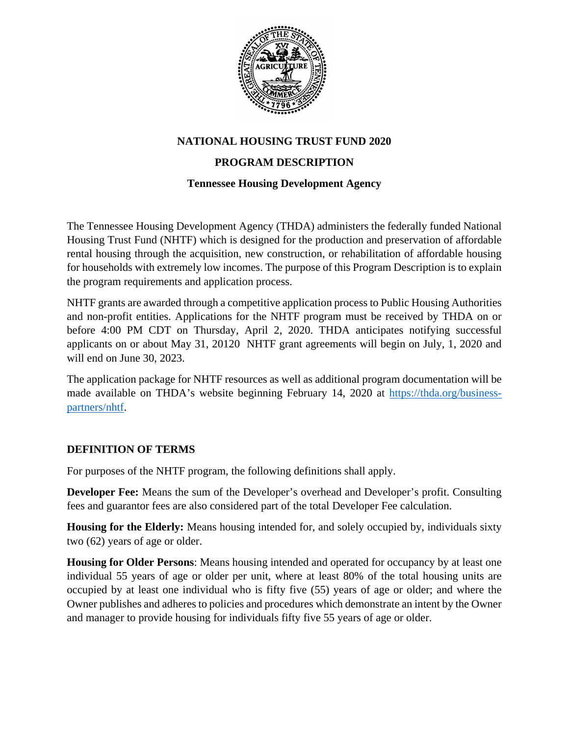

## **NATIONAL HOUSING TRUST FUND 2020**

## **PROGRAM DESCRIPTION**

### **Tennessee Housing Development Agency**

The Tennessee Housing Development Agency (THDA) administers the federally funded National Housing Trust Fund (NHTF) which is designed for the production and preservation of affordable rental housing through the acquisition, new construction, or rehabilitation of affordable housing for households with extremely low incomes. The purpose of this Program Description is to explain the program requirements and application process.

NHTF grants are awarded through a competitive application process to Public Housing Authorities and non-profit entities. Applications for the NHTF program must be received by THDA on or before 4:00 PM CDT on Thursday, April 2, 2020. THDA anticipates notifying successful applicants on or about May 31, 20120 NHTF grant agreements will begin on July, 1, 2020 and will end on June 30, 2023.

The application package for NHTF resources as well as additional program documentation will be made available on THDA's website beginning February 14, 2020 at [https://thda.org/business](https://thda.org/business-partners/nhtf)[partners/nhtf.](https://thda.org/business-partners/nhtf)

### **DEFINITION OF TERMS**

For purposes of the NHTF program, the following definitions shall apply.

**Developer Fee:** Means the sum of the Developer's overhead and Developer's profit. Consulting fees and guarantor fees are also considered part of the total Developer Fee calculation.

**Housing for the Elderly:** Means housing intended for, and solely occupied by, individuals sixty two (62) years of age or older.

**Housing for Older Persons**: Means housing intended and operated for occupancy by at least one individual 55 years of age or older per unit, where at least 80% of the total housing units are occupied by at least one individual who is fifty five (55) years of age or older; and where the Owner publishes and adheres to policies and procedures which demonstrate an intent by the Owner and manager to provide housing for individuals fifty five 55 years of age or older.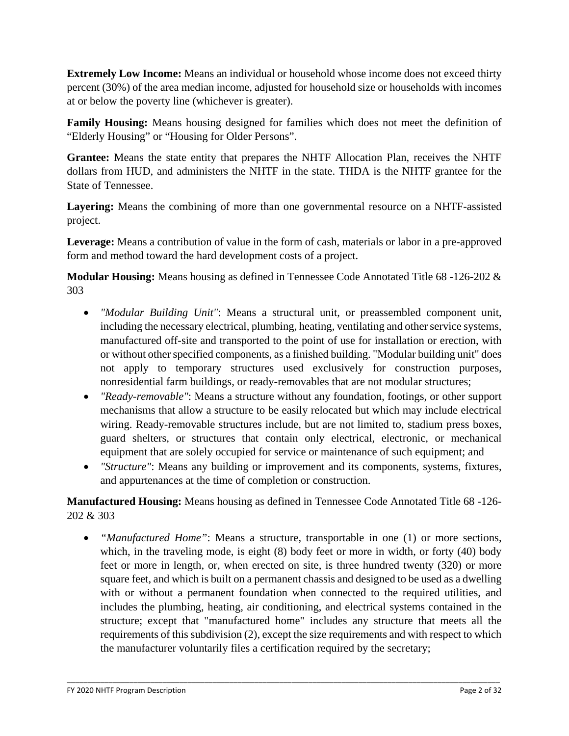**Extremely Low Income:** Means an individual or household whose income does not exceed thirty percent (30%) of the area median income, adjusted for household size or households with incomes at or below the poverty line (whichever is greater).

**Family Housing:** Means housing designed for families which does not meet the definition of "Elderly Housing" or "Housing for Older Persons".

**Grantee:** Means the state entity that prepares the NHTF Allocation Plan, receives the NHTF dollars from HUD, and administers the NHTF in the state. THDA is the NHTF grantee for the State of Tennessee.

**Layering:** Means the combining of more than one governmental resource on a NHTF-assisted project.

**Leverage:** Means a contribution of value in the form of cash, materials or labor in a pre-approved form and method toward the hard development costs of a project.

**Modular Housing:** Means housing as defined in Tennessee Code Annotated Title 68 -126-202 & 303

- *"Modular Building Unit"*: Means a structural unit, or preassembled component unit, including the necessary electrical, plumbing, heating, ventilating and other service systems, manufactured off-site and transported to the point of use for installation or erection, with or without other specified components, as a finished building. "Modular building unit" does not apply to temporary structures used exclusively for construction purposes, nonresidential farm buildings, or ready-removables that are not modular structures;
- *"Ready-removable"*: Means a structure without any foundation, footings, or other support mechanisms that allow a structure to be easily relocated but which may include electrical wiring. Ready-removable structures include, but are not limited to, stadium press boxes, guard shelters, or structures that contain only electrical, electronic, or mechanical equipment that are solely occupied for service or maintenance of such equipment; and
- *"Structure"*: Means any building or improvement and its components, systems, fixtures, and appurtenances at the time of completion or construction.

**Manufactured Housing:** Means housing as defined in Tennessee Code Annotated Title 68 -126- 202 & 303

• *"Manufactured Home"*: Means a structure, transportable in one (1) or more sections, which, in the traveling mode, is eight (8) body feet or more in width, or forty (40) body feet or more in length, or, when erected on site, is three hundred twenty (320) or more square feet, and which is built on a permanent chassis and designed to be used as a dwelling with or without a permanent foundation when connected to the required utilities, and includes the plumbing, heating, air conditioning, and electrical systems contained in the structure; except that "manufactured home" includes any structure that meets all the requirements of this subdivision (2), except the size requirements and with respect to which the manufacturer voluntarily files a certification required by the secretary;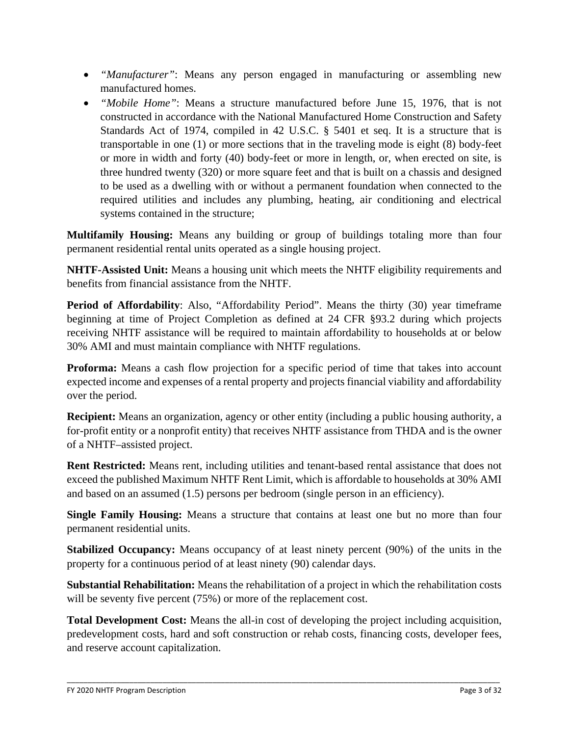- *"Manufacturer"*: Means any person engaged in manufacturing or assembling new manufactured homes.
- *"Mobile Home"*: Means a structure manufactured before June 15, 1976, that is not constructed in accordance with the National Manufactured Home Construction and Safety Standards Act of 1974, compiled in 42 U.S.C. § 5401 et seq. It is a structure that is transportable in one (1) or more sections that in the traveling mode is eight (8) body-feet or more in width and forty (40) body-feet or more in length, or, when erected on site, is three hundred twenty (320) or more square feet and that is built on a chassis and designed to be used as a dwelling with or without a permanent foundation when connected to the required utilities and includes any plumbing, heating, air conditioning and electrical systems contained in the structure;

**Multifamily Housing:** Means any building or group of buildings totaling more than four permanent residential rental units operated as a single housing project.

**NHTF-Assisted Unit:** Means a housing unit which meets the NHTF eligibility requirements and benefits from financial assistance from the NHTF.

**Period of Affordability**: Also, "Affordability Period". Means the thirty (30) year timeframe beginning at time of Project Completion as defined at 24 CFR §93.2 during which projects receiving NHTF assistance will be required to maintain affordability to households at or below 30% AMI and must maintain compliance with NHTF regulations.

**Proforma:** Means a cash flow projection for a specific period of time that takes into account expected income and expenses of a rental property and projects financial viability and affordability over the period.

**Recipient:** Means an organization, agency or other entity (including a public housing authority, a for-profit entity or a nonprofit entity) that receives NHTF assistance from THDA and is the owner of a NHTF–assisted project.

**Rent Restricted:** Means rent, including utilities and tenant-based rental assistance that does not exceed the published Maximum NHTF Rent Limit, which is affordable to households at 30% AMI and based on an assumed (1.5) persons per bedroom (single person in an efficiency).

**Single Family Housing:** Means a structure that contains at least one but no more than four permanent residential units.

**Stabilized Occupancy:** Means occupancy of at least ninety percent (90%) of the units in the property for a continuous period of at least ninety (90) calendar days.

**Substantial Rehabilitation:** Means the rehabilitation of a project in which the rehabilitation costs will be seventy five percent (75%) or more of the replacement cost.

**Total Development Cost:** Means the all-in cost of developing the project including acquisition, predevelopment costs, hard and soft construction or rehab costs, financing costs, developer fees, and reserve account capitalization.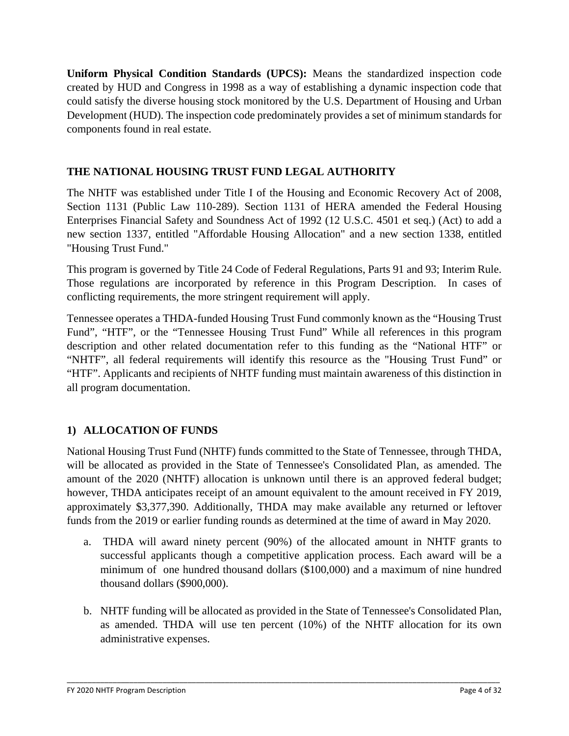**Uniform Physical Condition Standards (UPCS):** Means the standardized inspection code created by HUD and Congress in 1998 as a way of establishing a dynamic inspection code that could satisfy the diverse housing stock monitored by the U.S. Department of Housing and Urban Development (HUD). The inspection code predominately provides a set of minimum standards for components found in real estate.

# **THE NATIONAL HOUSING TRUST FUND LEGAL AUTHORITY**

The NHTF was established under Title I of the Housing and Economic Recovery Act of 2008, Section 1131 (Public Law 110-289). Section 1131 of HERA amended the Federal Housing Enterprises Financial Safety and Soundness Act of 1992 (12 U.S.C. 4501 et seq.) (Act) to add a new section 1337, entitled "Affordable Housing Allocation" and a new section 1338, entitled "Housing Trust Fund."

This program is governed by Title 24 Code of Federal Regulations, Parts 91 and 93; Interim Rule. Those regulations are incorporated by reference in this Program Description. In cases of conflicting requirements, the more stringent requirement will apply.

Tennessee operates a THDA-funded Housing Trust Fund commonly known as the "Housing Trust Fund", "HTF", or the "Tennessee Housing Trust Fund" While all references in this program description and other related documentation refer to this funding as the "National HTF" or "NHTF", all federal requirements will identify this resource as the "Housing Trust Fund" or "HTF". Applicants and recipients of NHTF funding must maintain awareness of this distinction in all program documentation.

# **1) ALLOCATION OF FUNDS**

National Housing Trust Fund (NHTF) funds committed to the State of Tennessee, through THDA, will be allocated as provided in the State of Tennessee's Consolidated Plan, as amended. The amount of the 2020 (NHTF) allocation is unknown until there is an approved federal budget; however, THDA anticipates receipt of an amount equivalent to the amount received in FY 2019, approximately \$3,377,390. Additionally, THDA may make available any returned or leftover funds from the 2019 or earlier funding rounds as determined at the time of award in May 2020.

- a. THDA will award ninety percent (90%) of the allocated amount in NHTF grants to successful applicants though a competitive application process. Each award will be a minimum of one hundred thousand dollars (\$100,000) and a maximum of nine hundred thousand dollars (\$900,000).
- b. NHTF funding will be allocated as provided in the State of Tennessee's Consolidated Plan, as amended. THDA will use ten percent (10%) of the NHTF allocation for its own administrative expenses.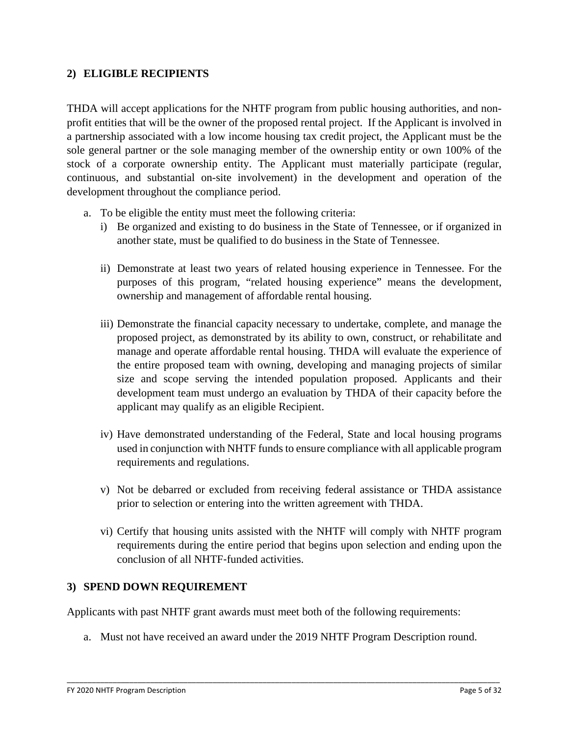### **2) ELIGIBLE RECIPIENTS**

THDA will accept applications for the NHTF program from public housing authorities, and nonprofit entities that will be the owner of the proposed rental project. If the Applicant is involved in a partnership associated with a low income housing tax credit project, the Applicant must be the sole general partner or the sole managing member of the ownership entity or own 100% of the stock of a corporate ownership entity. The Applicant must materially participate (regular, continuous, and substantial on-site involvement) in the development and operation of the development throughout the compliance period.

- a. To be eligible the entity must meet the following criteria:
	- i) Be organized and existing to do business in the State of Tennessee, or if organized in another state, must be qualified to do business in the State of Tennessee.
	- ii) Demonstrate at least two years of related housing experience in Tennessee. For the purposes of this program, "related housing experience" means the development, ownership and management of affordable rental housing.
	- iii) Demonstrate the financial capacity necessary to undertake, complete, and manage the proposed project, as demonstrated by its ability to own, construct, or rehabilitate and manage and operate affordable rental housing. THDA will evaluate the experience of the entire proposed team with owning, developing and managing projects of similar size and scope serving the intended population proposed. Applicants and their development team must undergo an evaluation by THDA of their capacity before the applicant may qualify as an eligible Recipient.
	- iv) Have demonstrated understanding of the Federal, State and local housing programs used in conjunction with NHTF funds to ensure compliance with all applicable program requirements and regulations.
	- v) Not be debarred or excluded from receiving federal assistance or THDA assistance prior to selection or entering into the written agreement with THDA.
	- vi) Certify that housing units assisted with the NHTF will comply with NHTF program requirements during the entire period that begins upon selection and ending upon the conclusion of all NHTF‐funded activities.

#### **3) SPEND DOWN REQUIREMENT**

Applicants with past NHTF grant awards must meet both of the following requirements:

a. Must not have received an award under the 2019 NHTF Program Description round.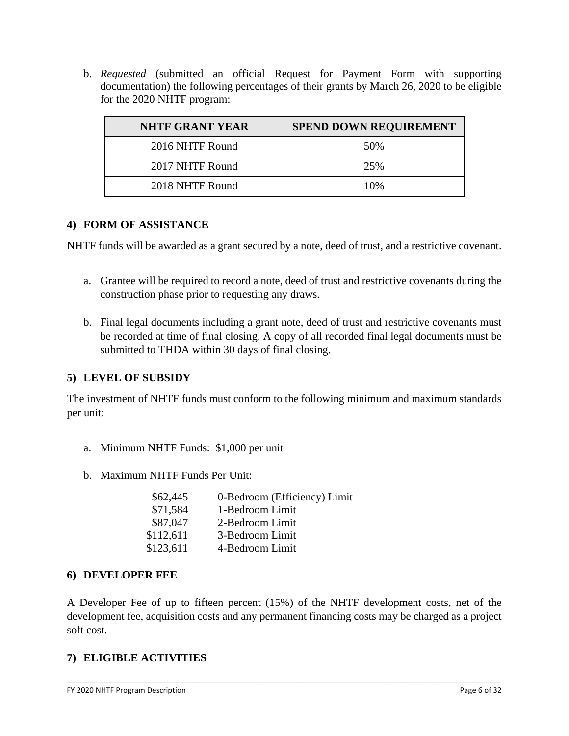b. *Requested* (submitted an official Request for Payment Form with supporting documentation) the following percentages of their grants by March 26, 2020 to be eligible for the 2020 NHTF program:

| <b>NHTF GRANT YEAR</b> | <b>SPEND DOWN REQUIREMENT</b> |
|------------------------|-------------------------------|
| 2016 NHTF Round        | 50%                           |
| 2017 NHTF Round        | 25%                           |
| 2018 NHTF Round        | 10%                           |

### **4) FORM OF ASSISTANCE**

NHTF funds will be awarded as a grant secured by a note, deed of trust, and a restrictive covenant.

- a. Grantee will be required to record a note, deed of trust and restrictive covenants during the construction phase prior to requesting any draws.
- b. Final legal documents including a grant note, deed of trust and restrictive covenants must be recorded at time of final closing. A copy of all recorded final legal documents must be submitted to THDA within 30 days of final closing.

### **5) LEVEL OF SUBSIDY**

The investment of NHTF funds must conform to the following minimum and maximum standards per unit:

- a. Minimum NHTF Funds: \$1,000 per unit
- b. Maximum NHTF Funds Per Unit:

| \$62,445  | 0-Bedroom (Efficiency) Limit |
|-----------|------------------------------|
| \$71,584  | 1-Bedroom Limit              |
| \$87,047  | 2-Bedroom Limit              |
| \$112,611 | 3-Bedroom Limit              |
| \$123,611 | 4-Bedroom Limit              |
|           |                              |

### **6) DEVELOPER FEE**

A Developer Fee of up to fifteen percent (15%) of the NHTF development costs, net of the development fee, acquisition costs and any permanent financing costs may be charged as a project soft cost.

\_\_\_\_\_\_\_\_\_\_\_\_\_\_\_\_\_\_\_\_\_\_\_\_\_\_\_\_\_\_\_\_\_\_\_\_\_\_\_\_\_\_\_\_\_\_\_\_\_\_\_\_\_\_\_\_\_\_\_\_\_\_\_\_\_\_\_\_\_\_\_\_\_\_\_\_\_\_\_\_\_\_\_\_\_\_\_\_\_\_\_\_\_\_\_\_\_\_\_\_\_\_\_\_

### **7) ELIGIBLE ACTIVITIES**

FY 2020 NHTF Program Description Page 6 of 32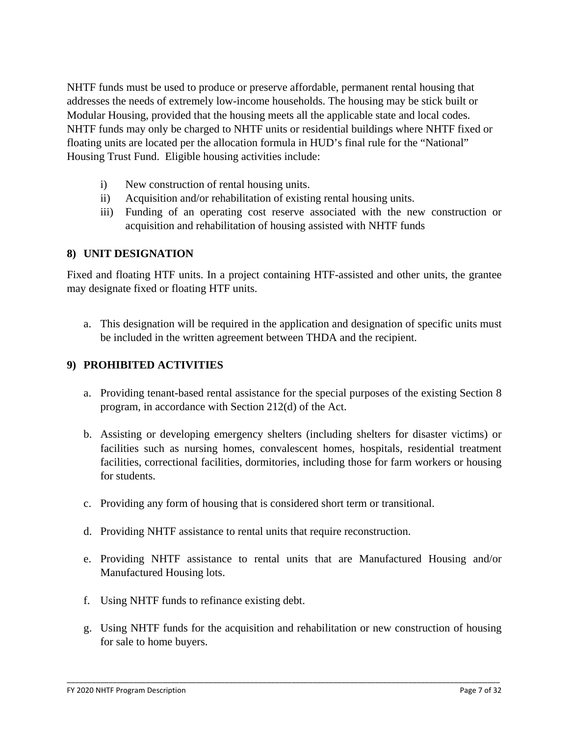NHTF funds must be used to produce or preserve affordable, permanent rental housing that addresses the needs of extremely low-income households. The housing may be stick built or Modular Housing, provided that the housing meets all the applicable state and local codes. NHTF funds may only be charged to NHTF units or residential buildings where NHTF fixed or floating units are located per the allocation formula in HUD's final rule for the "National" Housing Trust Fund. Eligible housing activities include:

- i) New construction of rental housing units.
- ii) Acquisition and/or rehabilitation of existing rental housing units.
- iii) Funding of an operating cost reserve associated with the new construction or acquisition and rehabilitation of housing assisted with NHTF funds

#### **8) UNIT DESIGNATION**

Fixed and floating HTF units. In a project containing HTF-assisted and other units, the grantee may designate fixed or floating HTF units.

a. This designation will be required in the application and designation of specific units must be included in the written agreement between THDA and the recipient.

### **9) PROHIBITED ACTIVITIES**

- a. Providing tenant-based rental assistance for the special purposes of the existing Section 8 program, in accordance with Section 212(d) of the Act.
- b. Assisting or developing emergency shelters (including shelters for disaster victims) or facilities such as nursing homes, convalescent homes, hospitals, residential treatment facilities, correctional facilities, dormitories, including those for farm workers or housing for students.
- c. Providing any form of housing that is considered short term or transitional.
- d. Providing NHTF assistance to rental units that require reconstruction.
- e. Providing NHTF assistance to rental units that are Manufactured Housing and/or Manufactured Housing lots.
- f. Using NHTF funds to refinance existing debt.
- g. Using NHTF funds for the acquisition and rehabilitation or new construction of housing for sale to home buyers.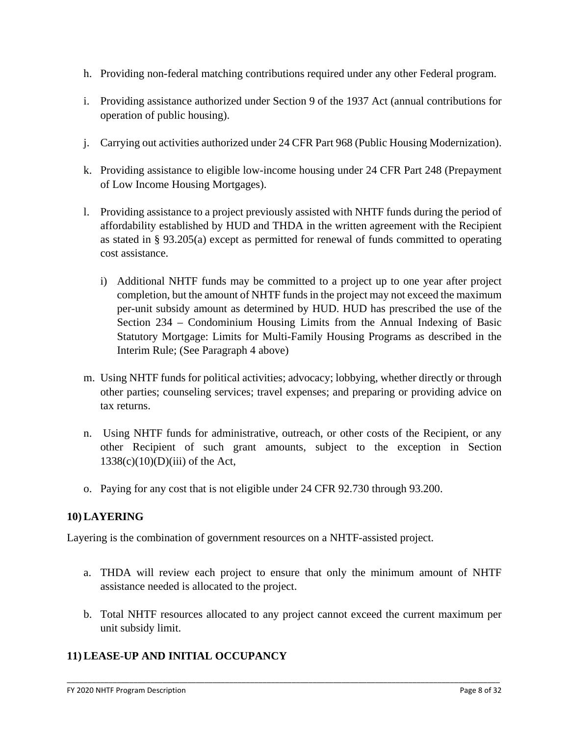- h. Providing non-federal matching contributions required under any other Federal program.
- i. Providing assistance authorized under Section 9 of the 1937 Act (annual contributions for operation of public housing).
- j. Carrying out activities authorized under 24 CFR Part 968 (Public Housing Modernization).
- k. Providing assistance to eligible low-income housing under 24 CFR Part 248 (Prepayment of Low Income Housing Mortgages).
- l. Providing assistance to a project previously assisted with NHTF funds during the period of affordability established by HUD and THDA in the written agreement with the Recipient as stated in § 93.205(a) except as permitted for renewal of funds committed to operating cost assistance.
	- i) Additional NHTF funds may be committed to a project up to one year after project completion, but the amount of NHTF funds in the project may not exceed the maximum per-unit subsidy amount as determined by HUD. HUD has prescribed the use of the Section 234 – Condominium Housing Limits from the Annual Indexing of Basic Statutory Mortgage: Limits for Multi-Family Housing Programs as described in the Interim Rule; (See Paragraph 4 above)
- m. Using NHTF funds for political activities; advocacy; lobbying, whether directly or through other parties; counseling services; travel expenses; and preparing or providing advice on tax returns.
- n. Using NHTF funds for administrative, outreach, or other costs of the Recipient, or any other Recipient of such grant amounts, subject to the exception in Section  $1338(c)(10)(D)(iii)$  of the Act,
- o. Paying for any cost that is not eligible under 24 CFR 92.730 through 93.200.

## **10) LAYERING**

Layering is the combination of government resources on a NHTF-assisted project.

- a. THDA will review each project to ensure that only the minimum amount of NHTF assistance needed is allocated to the project.
- b. Total NHTF resources allocated to any project cannot exceed the current maximum per unit subsidy limit.

\_\_\_\_\_\_\_\_\_\_\_\_\_\_\_\_\_\_\_\_\_\_\_\_\_\_\_\_\_\_\_\_\_\_\_\_\_\_\_\_\_\_\_\_\_\_\_\_\_\_\_\_\_\_\_\_\_\_\_\_\_\_\_\_\_\_\_\_\_\_\_\_\_\_\_\_\_\_\_\_\_\_\_\_\_\_\_\_\_\_\_\_\_\_\_\_\_\_\_\_\_\_\_\_

## **11) LEASE-UP AND INITIAL OCCUPANCY**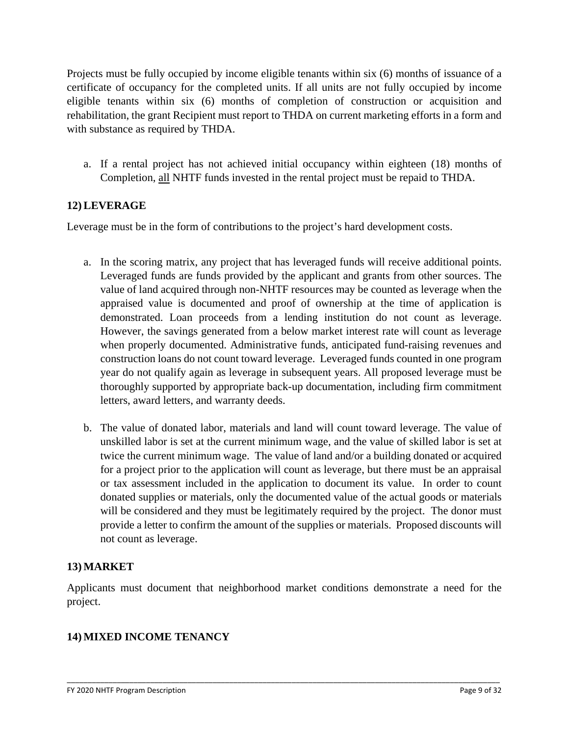Projects must be fully occupied by income eligible tenants within six (6) months of issuance of a certificate of occupancy for the completed units. If all units are not fully occupied by income eligible tenants within six (6) months of completion of construction or acquisition and rehabilitation, the grant Recipient must report to THDA on current marketing efforts in a form and with substance as required by THDA.

a. If a rental project has not achieved initial occupancy within eighteen (18) months of Completion, all NHTF funds invested in the rental project must be repaid to THDA.

## **12) LEVERAGE**

Leverage must be in the form of contributions to the project's hard development costs.

- a. In the scoring matrix, any project that has leveraged funds will receive additional points. Leveraged funds are funds provided by the applicant and grants from other sources. The value of land acquired through non-NHTF resources may be counted as leverage when the appraised value is documented and proof of ownership at the time of application is demonstrated. Loan proceeds from a lending institution do not count as leverage. However, the savings generated from a below market interest rate will count as leverage when properly documented. Administrative funds, anticipated fund-raising revenues and construction loans do not count toward leverage. Leveraged funds counted in one program year do not qualify again as leverage in subsequent years. All proposed leverage must be thoroughly supported by appropriate back-up documentation, including firm commitment letters, award letters, and warranty deeds.
- b. The value of donated labor, materials and land will count toward leverage. The value of unskilled labor is set at the current minimum wage, and the value of skilled labor is set at twice the current minimum wage. The value of land and/or a building donated or acquired for a project prior to the application will count as leverage, but there must be an appraisal or tax assessment included in the application to document its value. In order to count donated supplies or materials, only the documented value of the actual goods or materials will be considered and they must be legitimately required by the project. The donor must provide a letter to confirm the amount of the supplies or materials. Proposed discounts will not count as leverage.

### **13) MARKET**

Applicants must document that neighborhood market conditions demonstrate a need for the project.

\_\_\_\_\_\_\_\_\_\_\_\_\_\_\_\_\_\_\_\_\_\_\_\_\_\_\_\_\_\_\_\_\_\_\_\_\_\_\_\_\_\_\_\_\_\_\_\_\_\_\_\_\_\_\_\_\_\_\_\_\_\_\_\_\_\_\_\_\_\_\_\_\_\_\_\_\_\_\_\_\_\_\_\_\_\_\_\_\_\_\_\_\_\_\_\_\_\_\_\_\_\_\_\_

### **14) MIXED INCOME TENANCY**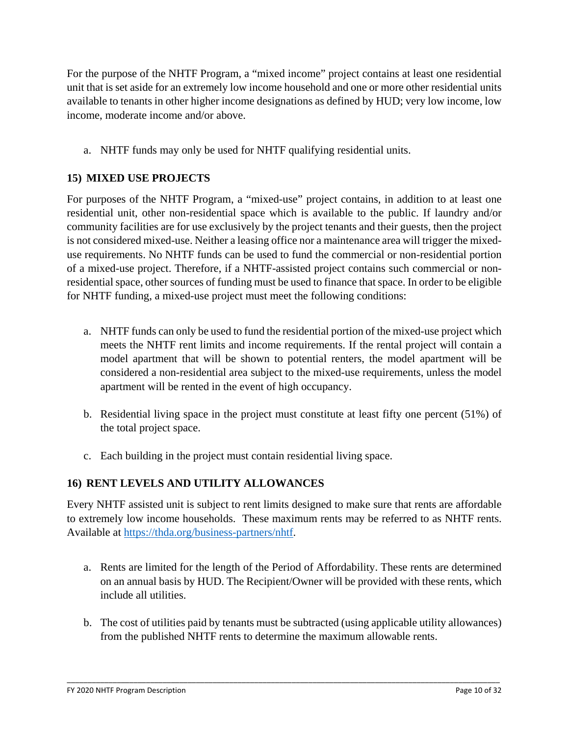For the purpose of the NHTF Program, a "mixed income" project contains at least one residential unit that is set aside for an extremely low income household and one or more other residential units available to tenants in other higher income designations as defined by HUD; very low income, low income, moderate income and/or above.

a. NHTF funds may only be used for NHTF qualifying residential units.

## **15) MIXED USE PROJECTS**

For purposes of the NHTF Program, a "mixed-use" project contains, in addition to at least one residential unit, other non-residential space which is available to the public. If laundry and/or community facilities are for use exclusively by the project tenants and their guests, then the project is not considered mixed-use. Neither a leasing office nor a maintenance area will trigger the mixeduse requirements. No NHTF funds can be used to fund the commercial or non-residential portion of a mixed-use project. Therefore, if a NHTF-assisted project contains such commercial or nonresidential space, other sources of funding must be used to finance that space. In order to be eligible for NHTF funding, a mixed-use project must meet the following conditions:

- a. NHTF funds can only be used to fund the residential portion of the mixed-use project which meets the NHTF rent limits and income requirements. If the rental project will contain a model apartment that will be shown to potential renters, the model apartment will be considered a non-residential area subject to the mixed-use requirements, unless the model apartment will be rented in the event of high occupancy.
- b. Residential living space in the project must constitute at least fifty one percent (51%) of the total project space.
- c. Each building in the project must contain residential living space.

## **16) RENT LEVELS AND UTILITY ALLOWANCES**

Every NHTF assisted unit is subject to rent limits designed to make sure that rents are affordable to extremely low income households. These maximum rents may be referred to as NHTF rents. Available at [https://thda.org/business-partners/nhtf.](https://thda.org/business-partners/nhtf)

- a. Rents are limited for the length of the Period of Affordability. These rents are determined on an annual basis by HUD. The Recipient/Owner will be provided with these rents, which include all utilities.
- b. The cost of utilities paid by tenants must be subtracted (using applicable utility allowances) from the published NHTF rents to determine the maximum allowable rents.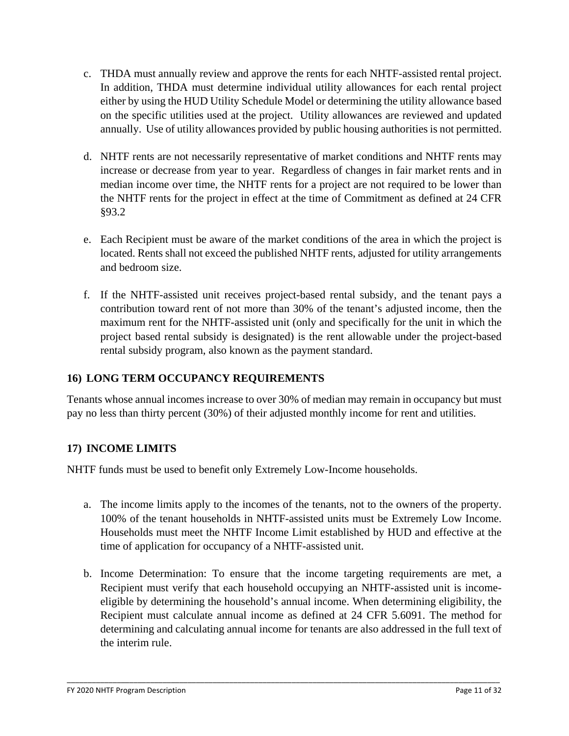- c. THDA must annually review and approve the rents for each NHTF-assisted rental project. In addition, THDA must determine individual utility allowances for each rental project either by using the HUD Utility Schedule Model or determining the utility allowance based on the specific utilities used at the project. Utility allowances are reviewed and updated annually. Use of utility allowances provided by public housing authorities is not permitted.
- d. NHTF rents are not necessarily representative of market conditions and NHTF rents may increase or decrease from year to year. Regardless of changes in fair market rents and in median income over time, the NHTF rents for a project are not required to be lower than the NHTF rents for the project in effect at the time of Commitment as defined at 24 CFR §93.2
- e. Each Recipient must be aware of the market conditions of the area in which the project is located. Rents shall not exceed the published NHTF rents, adjusted for utility arrangements and bedroom size.
- f. If the NHTF-assisted unit receives project-based rental subsidy, and the tenant pays a contribution toward rent of not more than 30% of the tenant's adjusted income, then the maximum rent for the NHTF-assisted unit (only and specifically for the unit in which the project based rental subsidy is designated) is the rent allowable under the project-based rental subsidy program, also known as the payment standard.

# **16) LONG TERM OCCUPANCY REQUIREMENTS**

Tenants whose annual incomes increase to over 30% of median may remain in occupancy but must pay no less than thirty percent (30%) of their adjusted monthly income for rent and utilities.

## **17) INCOME LIMITS**

NHTF funds must be used to benefit only Extremely Low-Income households.

- a. The income limits apply to the incomes of the tenants, not to the owners of the property. 100% of the tenant households in NHTF-assisted units must be Extremely Low Income. Households must meet the NHTF Income Limit established by HUD and effective at the time of application for occupancy of a NHTF-assisted unit.
- b. Income Determination: To ensure that the income targeting requirements are met, a Recipient must verify that each household occupying an NHTF-assisted unit is incomeeligible by determining the household's annual income. When determining eligibility, the Recipient must calculate annual income as defined at 24 CFR 5.6091. The method for determining and calculating annual income for tenants are also addressed in the full text of the interim rule.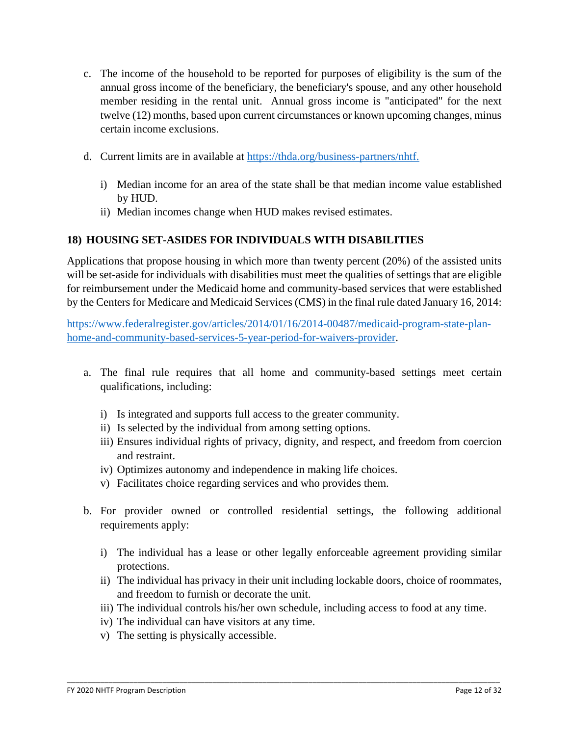- c. The income of the household to be reported for purposes of eligibility is the sum of the annual gross income of the beneficiary, the beneficiary's spouse, and any other household member residing in the rental unit. Annual gross income is "anticipated" for the next twelve (12) months, based upon current circumstances or known upcoming changes, minus certain income exclusions.
- d. Current limits are in available at [https://thda.org/business-partners/nhtf.](https://thda.org/business-partners/nhtf)
	- i) Median income for an area of the state shall be that median income value established by HUD.
	- ii) Median incomes change when HUD makes revised estimates.

## **18) HOUSING SET-ASIDES FOR INDIVIDUALS WITH DISABILITIES**

Applications that propose housing in which more than twenty percent (20%) of the assisted units will be set-aside for individuals with disabilities must meet the qualities of settings that are eligible for reimbursement under the Medicaid home and community-based services that were established by the Centers for Medicare and Medicaid Services (CMS) in the final rule dated January 16, 2014:

[https://www.federalregister.gov/articles/2014/01/16/2014-00487/medicaid-program-state-plan](https://www.federalregister.gov/articles/2014/01/16/2014-00487/medicaid-program-state-plan-home-and-community-based-services-5-year-period-for-waivers-provider)[home-and-community-based-services-5-year-period-for-waivers-provider.](https://www.federalregister.gov/articles/2014/01/16/2014-00487/medicaid-program-state-plan-home-and-community-based-services-5-year-period-for-waivers-provider)

- a. The final rule requires that all home and community-based settings meet certain qualifications, including:
	- i) Is integrated and supports full access to the greater community.
	- ii) Is selected by the individual from among setting options.
	- iii) Ensures individual rights of privacy, dignity, and respect, and freedom from coercion and restraint.
	- iv) Optimizes autonomy and independence in making life choices.
	- v) Facilitates choice regarding services and who provides them.
- b. For provider owned or controlled residential settings, the following additional requirements apply:
	- i) The individual has a lease or other legally enforceable agreement providing similar protections.
	- ii) The individual has privacy in their unit including lockable doors, choice of roommates, and freedom to furnish or decorate the unit.
	- iii) The individual controls his/her own schedule, including access to food at any time.

- iv) The individual can have visitors at any time.
- v) The setting is physically accessible.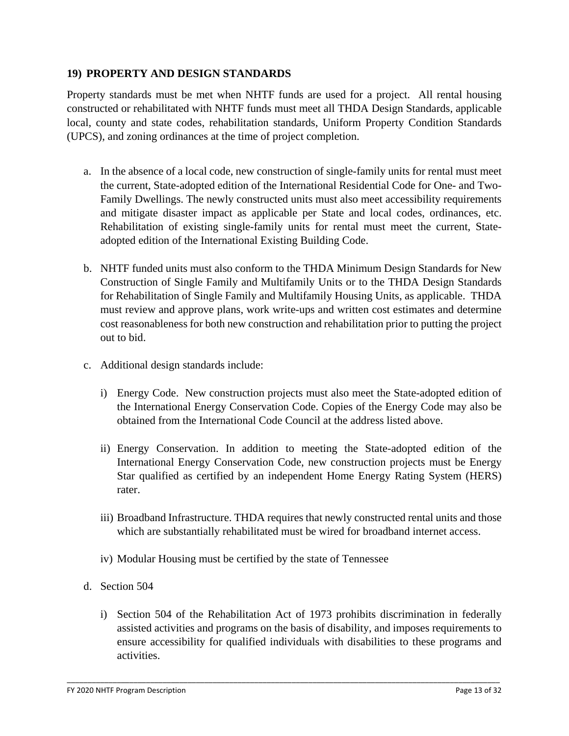### **19) PROPERTY AND DESIGN STANDARDS**

Property standards must be met when NHTF funds are used for a project. All rental housing constructed or rehabilitated with NHTF funds must meet all THDA Design Standards, applicable local, county and state codes, rehabilitation standards, Uniform Property Condition Standards (UPCS), and zoning ordinances at the time of project completion.

- a. In the absence of a local code, new construction of single-family units for rental must meet the current, State-adopted edition of the International Residential Code for One- and Two-Family Dwellings. The newly constructed units must also meet accessibility requirements and mitigate disaster impact as applicable per State and local codes, ordinances, etc. Rehabilitation of existing single-family units for rental must meet the current, Stateadopted edition of the International Existing Building Code.
- b. NHTF funded units must also conform to the THDA Minimum Design Standards for New Construction of Single Family and Multifamily Units or to the THDA Design Standards for Rehabilitation of Single Family and Multifamily Housing Units, as applicable. THDA must review and approve plans, work write-ups and written cost estimates and determine cost reasonableness for both new construction and rehabilitation prior to putting the project out to bid.
- c. Additional design standards include:
	- i) Energy Code. New construction projects must also meet the State-adopted edition of the International Energy Conservation Code. Copies of the Energy Code may also be obtained from the International Code Council at the address listed above.
	- ii) Energy Conservation. In addition to meeting the State-adopted edition of the International Energy Conservation Code, new construction projects must be Energy Star qualified as certified by an independent Home Energy Rating System (HERS) rater.
	- iii) Broadband Infrastructure. THDA requires that newly constructed rental units and those which are substantially rehabilitated must be wired for broadband internet access.
	- iv) Modular Housing must be certified by the state of Tennessee
- d. Section 504
	- i) Section 504 of the Rehabilitation Act of 1973 prohibits discrimination in federally assisted activities and programs on the basis of disability, and imposes requirements to ensure accessibility for qualified individuals with disabilities to these programs and activities.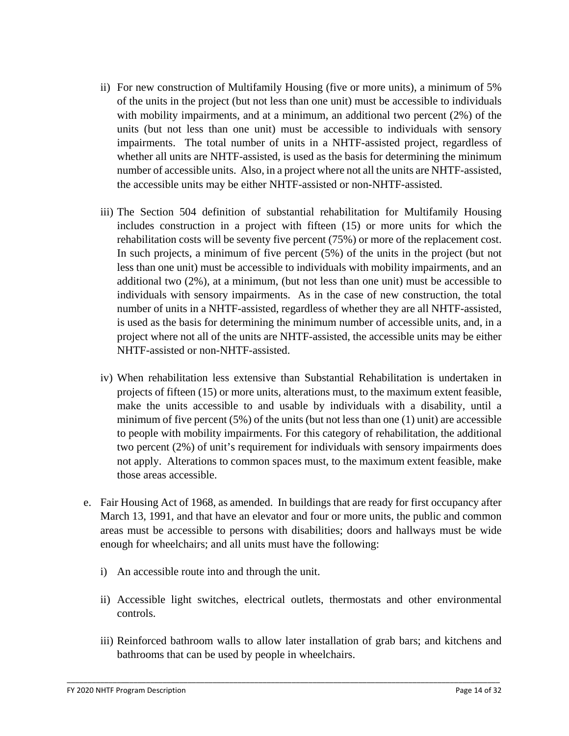- ii) For new construction of Multifamily Housing (five or more units), a minimum of 5% of the units in the project (but not less than one unit) must be accessible to individuals with mobility impairments, and at a minimum, an additional two percent (2%) of the units (but not less than one unit) must be accessible to individuals with sensory impairments. The total number of units in a NHTF-assisted project, regardless of whether all units are NHTF-assisted, is used as the basis for determining the minimum number of accessible units. Also, in a project where not all the units are NHTF-assisted, the accessible units may be either NHTF-assisted or non-NHTF-assisted.
- iii) The Section 504 definition of substantial rehabilitation for Multifamily Housing includes construction in a project with fifteen (15) or more units for which the rehabilitation costs will be seventy five percent (75%) or more of the replacement cost. In such projects, a minimum of five percent (5%) of the units in the project (but not less than one unit) must be accessible to individuals with mobility impairments, and an additional two (2%), at a minimum, (but not less than one unit) must be accessible to individuals with sensory impairments. As in the case of new construction, the total number of units in a NHTF-assisted, regardless of whether they are all NHTF-assisted, is used as the basis for determining the minimum number of accessible units, and, in a project where not all of the units are NHTF-assisted, the accessible units may be either NHTF-assisted or non-NHTF-assisted.
- iv) When rehabilitation less extensive than Substantial Rehabilitation is undertaken in projects of fifteen (15) or more units, alterations must, to the maximum extent feasible, make the units accessible to and usable by individuals with a disability, until a minimum of five percent  $(5\%)$  of the units (but not less than one  $(1)$  unit) are accessible to people with mobility impairments. For this category of rehabilitation, the additional two percent (2%) of unit's requirement for individuals with sensory impairments does not apply. Alterations to common spaces must, to the maximum extent feasible, make those areas accessible.
- e. Fair Housing Act of 1968, as amended. In buildings that are ready for first occupancy after March 13, 1991, and that have an elevator and four or more units, the public and common areas must be accessible to persons with disabilities; doors and hallways must be wide enough for wheelchairs; and all units must have the following:
	- i) An accessible route into and through the unit.
	- ii) Accessible light switches, electrical outlets, thermostats and other environmental controls.
	- iii) Reinforced bathroom walls to allow later installation of grab bars; and kitchens and bathrooms that can be used by people in wheelchairs.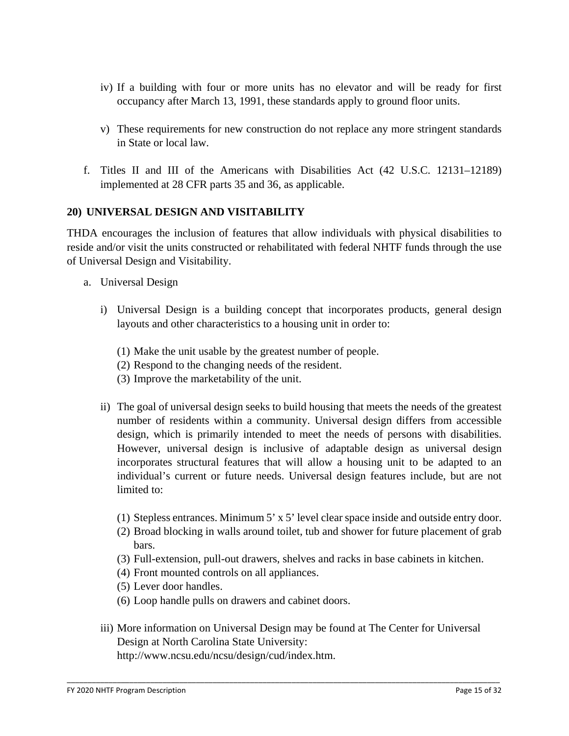- iv) If a building with four or more units has no elevator and will be ready for first occupancy after March 13, 1991, these standards apply to ground floor units.
- v) These requirements for new construction do not replace any more stringent standards in State or local law.
- f. Titles II and III of the Americans with Disabilities Act (42 U.S.C. 12131–12189) implemented at 28 CFR parts 35 and 36, as applicable.

## **20) UNIVERSAL DESIGN AND VISITABILITY**

THDA encourages the inclusion of features that allow individuals with physical disabilities to reside and/or visit the units constructed or rehabilitated with federal NHTF funds through the use of Universal Design and Visitability.

- a. Universal Design
	- i) Universal Design is a building concept that incorporates products, general design layouts and other characteristics to a housing unit in order to:
		- (1) Make the unit usable by the greatest number of people.
		- (2) Respond to the changing needs of the resident.
		- (3) Improve the marketability of the unit.
	- ii) The goal of universal design seeks to build housing that meets the needs of the greatest number of residents within a community. Universal design differs from accessible design, which is primarily intended to meet the needs of persons with disabilities. However, universal design is inclusive of adaptable design as universal design incorporates structural features that will allow a housing unit to be adapted to an individual's current or future needs. Universal design features include, but are not limited to:
		- (1) Stepless entrances. Minimum 5' x 5' level clear space inside and outside entry door.
		- (2) Broad blocking in walls around toilet, tub and shower for future placement of grab bars.
		- (3) Full-extension, pull-out drawers, shelves and racks in base cabinets in kitchen.
		- (4) Front mounted controls on all appliances.
		- (5) Lever door handles.
		- (6) Loop handle pulls on drawers and cabinet doors.
	- iii) More information on Universal Design may be found at The Center for Universal Design at North Carolina State University:

\_\_\_\_\_\_\_\_\_\_\_\_\_\_\_\_\_\_\_\_\_\_\_\_\_\_\_\_\_\_\_\_\_\_\_\_\_\_\_\_\_\_\_\_\_\_\_\_\_\_\_\_\_\_\_\_\_\_\_\_\_\_\_\_\_\_\_\_\_\_\_\_\_\_\_\_\_\_\_\_\_\_\_\_\_\_\_\_\_\_\_\_\_\_\_\_\_\_\_\_\_\_\_\_

http://www.ncsu.edu/ncsu/design/cud/index.htm.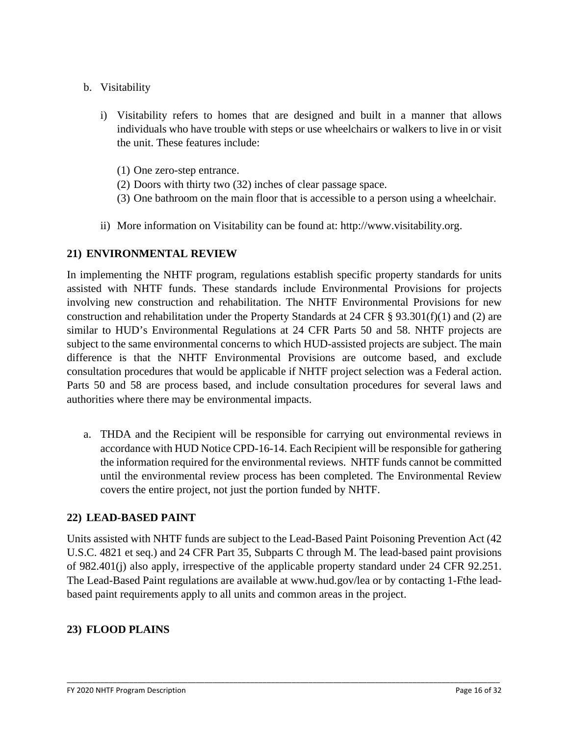- b. Visitability
	- i) Visitability refers to homes that are designed and built in a manner that allows individuals who have trouble with steps or use wheelchairs or walkers to live in or visit the unit. These features include:
		- (1) One zero-step entrance.
		- (2) Doors with thirty two (32) inches of clear passage space.
		- (3) One bathroom on the main floor that is accessible to a person using a wheelchair.
	- ii) More information on Visitability can be found at: http://www.visitability.org.

## **21) ENVIRONMENTAL REVIEW**

In implementing the NHTF program, regulations establish specific property standards for units assisted with NHTF funds. These standards include Environmental Provisions for projects involving new construction and rehabilitation. The NHTF Environmental Provisions for new construction and rehabilitation under the Property Standards at 24 CFR § 93.301(f)(1) and (2) are similar to HUD's Environmental Regulations at 24 CFR Parts 50 and 58. NHTF projects are subject to the same environmental concerns to which HUD-assisted projects are subject. The main difference is that the NHTF Environmental Provisions are outcome based, and exclude consultation procedures that would be applicable if NHTF project selection was a Federal action. Parts 50 and 58 are process based, and include consultation procedures for several laws and authorities where there may be environmental impacts.

a. THDA and the Recipient will be responsible for carrying out environmental reviews in accordance with HUD Notice CPD-16-14. Each Recipient will be responsible for gathering the information required for the environmental reviews. NHTF funds cannot be committed until the environmental review process has been completed. The Environmental Review covers the entire project, not just the portion funded by NHTF.

### **22) LEAD-BASED PAINT**

Units assisted with NHTF funds are subject to the Lead-Based Paint Poisoning Prevention Act (42 U.S.C. 4821 et seq.) and 24 CFR Part 35, Subparts C through M. The lead-based paint provisions of 982.401(j) also apply, irrespective of the applicable property standard under 24 CFR 92.251. The Lead-Based Paint regulations are available at www.hud.gov/lea or by contacting 1-Fthe leadbased paint requirements apply to all units and common areas in the project.

\_\_\_\_\_\_\_\_\_\_\_\_\_\_\_\_\_\_\_\_\_\_\_\_\_\_\_\_\_\_\_\_\_\_\_\_\_\_\_\_\_\_\_\_\_\_\_\_\_\_\_\_\_\_\_\_\_\_\_\_\_\_\_\_\_\_\_\_\_\_\_\_\_\_\_\_\_\_\_\_\_\_\_\_\_\_\_\_\_\_\_\_\_\_\_\_\_\_\_\_\_\_\_\_

## **23) FLOOD PLAINS**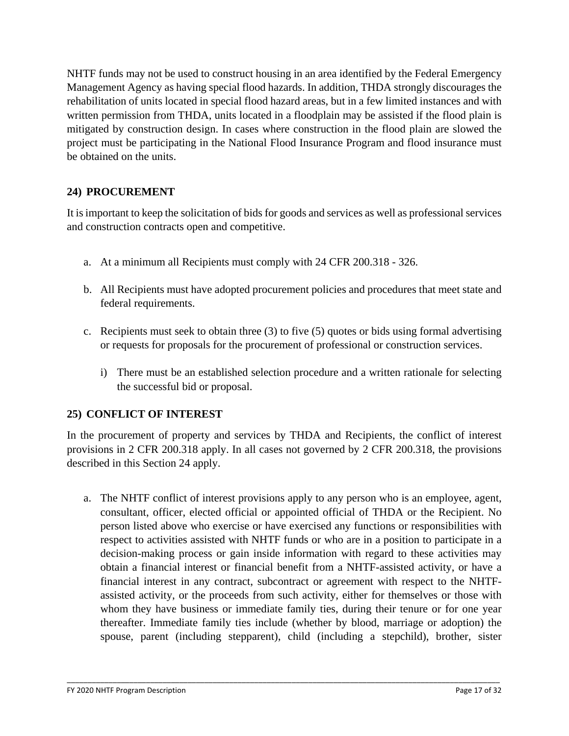NHTF funds may not be used to construct housing in an area identified by the Federal Emergency Management Agency as having special flood hazards. In addition, THDA strongly discourages the rehabilitation of units located in special flood hazard areas, but in a few limited instances and with written permission from THDA, units located in a floodplain may be assisted if the flood plain is mitigated by construction design. In cases where construction in the flood plain are slowed the project must be participating in the National Flood Insurance Program and flood insurance must be obtained on the units.

# **24) PROCUREMENT**

It is important to keep the solicitation of bids for goods and services as well as professional services and construction contracts open and competitive.

- a. At a minimum all Recipients must comply with 24 CFR 200.318 326.
- b. All Recipients must have adopted procurement policies and procedures that meet state and federal requirements.
- c. Recipients must seek to obtain three  $(3)$  to five  $(5)$  quotes or bids using formal advertising or requests for proposals for the procurement of professional or construction services.
	- i) There must be an established selection procedure and a written rationale for selecting the successful bid or proposal.

## **25) CONFLICT OF INTEREST**

In the procurement of property and services by THDA and Recipients, the conflict of interest provisions in 2 CFR 200.318 apply. In all cases not governed by 2 CFR 200.318, the provisions described in this Section 24 apply.

a. The NHTF conflict of interest provisions apply to any person who is an employee, agent, consultant, officer, elected official or appointed official of THDA or the Recipient. No person listed above who exercise or have exercised any functions or responsibilities with respect to activities assisted with NHTF funds or who are in a position to participate in a decision-making process or gain inside information with regard to these activities may obtain a financial interest or financial benefit from a NHTF-assisted activity, or have a financial interest in any contract, subcontract or agreement with respect to the NHTFassisted activity, or the proceeds from such activity, either for themselves or those with whom they have business or immediate family ties, during their tenure or for one year thereafter. Immediate family ties include (whether by blood, marriage or adoption) the spouse, parent (including stepparent), child (including a stepchild), brother, sister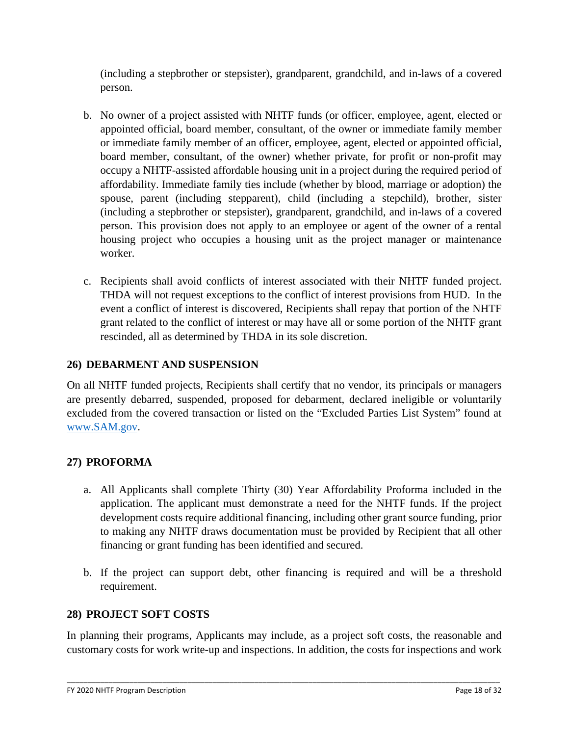(including a stepbrother or stepsister), grandparent, grandchild, and in-laws of a covered person.

- b. No owner of a project assisted with NHTF funds (or officer, employee, agent, elected or appointed official, board member, consultant, of the owner or immediate family member or immediate family member of an officer, employee, agent, elected or appointed official, board member, consultant, of the owner) whether private, for profit or non-profit may occupy a NHTF-assisted affordable housing unit in a project during the required period of affordability. Immediate family ties include (whether by blood, marriage or adoption) the spouse, parent (including stepparent), child (including a stepchild), brother, sister (including a stepbrother or stepsister), grandparent, grandchild, and in-laws of a covered person. This provision does not apply to an employee or agent of the owner of a rental housing project who occupies a housing unit as the project manager or maintenance worker.
- c. Recipients shall avoid conflicts of interest associated with their NHTF funded project. THDA will not request exceptions to the conflict of interest provisions from HUD. In the event a conflict of interest is discovered, Recipients shall repay that portion of the NHTF grant related to the conflict of interest or may have all or some portion of the NHTF grant rescinded, all as determined by THDA in its sole discretion.

## **26) DEBARMENT AND SUSPENSION**

On all NHTF funded projects, Recipients shall certify that no vendor, its principals or managers are presently debarred, suspended, proposed for debarment, declared ineligible or voluntarily excluded from the covered transaction or listed on the "Excluded Parties List System" found at [www.SAM.gov.](http://www.sam.gov/)

### **27) PROFORMA**

- a. All Applicants shall complete Thirty (30) Year Affordability Proforma included in the application. The applicant must demonstrate a need for the NHTF funds. If the project development costs require additional financing, including other grant source funding, prior to making any NHTF draws documentation must be provided by Recipient that all other financing or grant funding has been identified and secured.
- b. If the project can support debt, other financing is required and will be a threshold requirement.

### **28) PROJECT SOFT COSTS**

In planning their programs, Applicants may include, as a project soft costs, the reasonable and customary costs for work write-up and inspections. In addition, the costs for inspections and work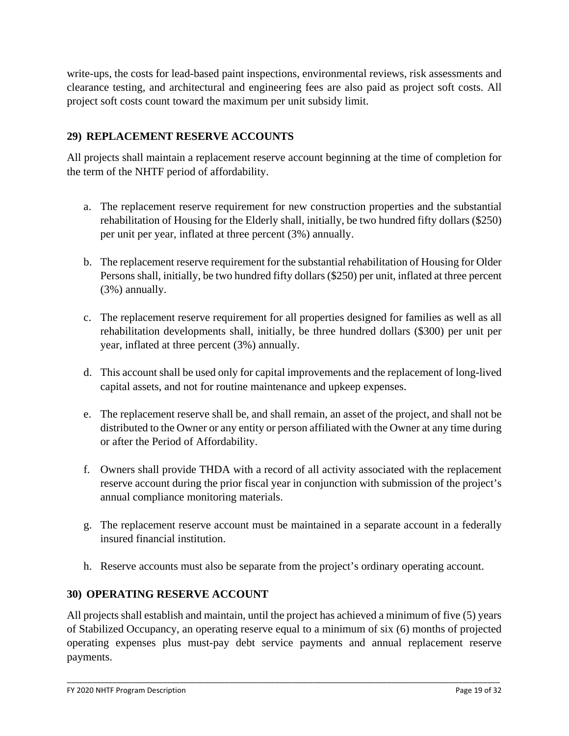write-ups, the costs for lead-based paint inspections, environmental reviews, risk assessments and clearance testing, and architectural and engineering fees are also paid as project soft costs. All project soft costs count toward the maximum per unit subsidy limit.

## **29) REPLACEMENT RESERVE ACCOUNTS**

All projects shall maintain a replacement reserve account beginning at the time of completion for the term of the NHTF period of affordability.

- a. The replacement reserve requirement for new construction properties and the substantial rehabilitation of Housing for the Elderly shall, initially, be two hundred fifty dollars (\$250) per unit per year, inflated at three percent (3%) annually.
- b. The replacement reserve requirement for the substantial rehabilitation of Housing for Older Persons shall, initially, be two hundred fifty dollars (\$250) per unit, inflated at three percent (3%) annually.
- c. The replacement reserve requirement for all properties designed for families as well as all rehabilitation developments shall, initially, be three hundred dollars (\$300) per unit per year, inflated at three percent (3%) annually.
- d. This account shall be used only for capital improvements and the replacement of long-lived capital assets, and not for routine maintenance and upkeep expenses.
- e. The replacement reserve shall be, and shall remain, an asset of the project, and shall not be distributed to the Owner or any entity or person affiliated with the Owner at any time during or after the Period of Affordability.
- f. Owners shall provide THDA with a record of all activity associated with the replacement reserve account during the prior fiscal year in conjunction with submission of the project's annual compliance monitoring materials.
- g. The replacement reserve account must be maintained in a separate account in a federally insured financial institution.
- h. Reserve accounts must also be separate from the project's ordinary operating account.

### **30) OPERATING RESERVE ACCOUNT**

All projects shall establish and maintain, until the project has achieved a minimum of five (5) years of Stabilized Occupancy, an operating reserve equal to a minimum of six (6) months of projected operating expenses plus must-pay debt service payments and annual replacement reserve payments.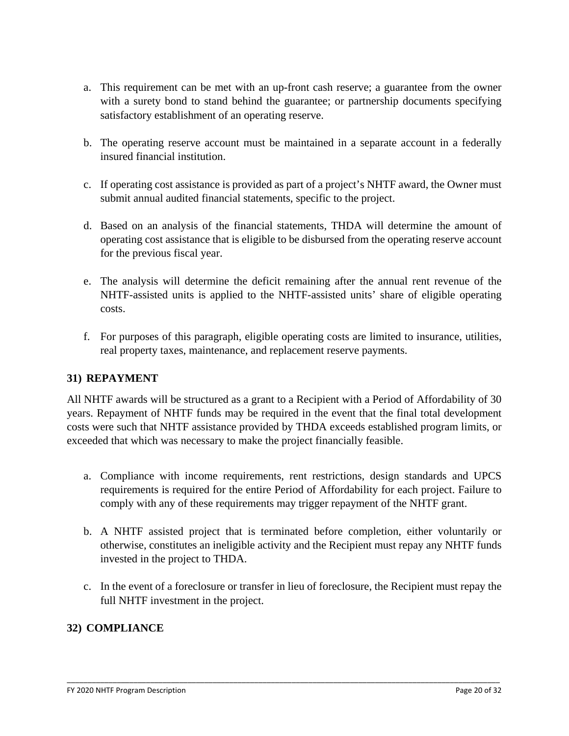- a. This requirement can be met with an up-front cash reserve; a guarantee from the owner with a surety bond to stand behind the guarantee; or partnership documents specifying satisfactory establishment of an operating reserve.
- b. The operating reserve account must be maintained in a separate account in a federally insured financial institution.
- c. If operating cost assistance is provided as part of a project's NHTF award, the Owner must submit annual audited financial statements, specific to the project.
- d. Based on an analysis of the financial statements, THDA will determine the amount of operating cost assistance that is eligible to be disbursed from the operating reserve account for the previous fiscal year.
- e. The analysis will determine the deficit remaining after the annual rent revenue of the NHTF-assisted units is applied to the NHTF-assisted units' share of eligible operating costs.
- f. For purposes of this paragraph, eligible operating costs are limited to insurance, utilities, real property taxes, maintenance, and replacement reserve payments.

### **31) REPAYMENT**

All NHTF awards will be structured as a grant to a Recipient with a Period of Affordability of 30 years. Repayment of NHTF funds may be required in the event that the final total development costs were such that NHTF assistance provided by THDA exceeds established program limits, or exceeded that which was necessary to make the project financially feasible.

- a. Compliance with income requirements, rent restrictions, design standards and UPCS requirements is required for the entire Period of Affordability for each project. Failure to comply with any of these requirements may trigger repayment of the NHTF grant.
- b. A NHTF assisted project that is terminated before completion, either voluntarily or otherwise, constitutes an ineligible activity and the Recipient must repay any NHTF funds invested in the project to THDA.
- c. In the event of a foreclosure or transfer in lieu of foreclosure, the Recipient must repay the full NHTF investment in the project.

\_\_\_\_\_\_\_\_\_\_\_\_\_\_\_\_\_\_\_\_\_\_\_\_\_\_\_\_\_\_\_\_\_\_\_\_\_\_\_\_\_\_\_\_\_\_\_\_\_\_\_\_\_\_\_\_\_\_\_\_\_\_\_\_\_\_\_\_\_\_\_\_\_\_\_\_\_\_\_\_\_\_\_\_\_\_\_\_\_\_\_\_\_\_\_\_\_\_\_\_\_\_\_\_

## **32) COMPLIANCE**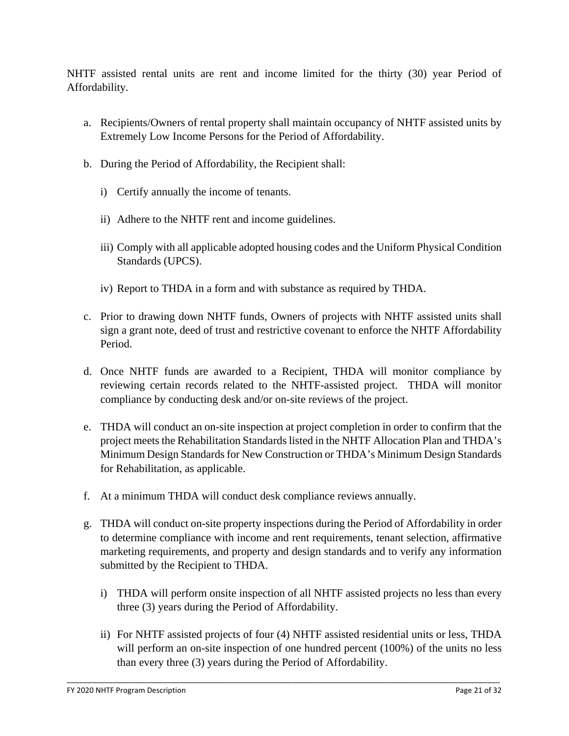NHTF assisted rental units are rent and income limited for the thirty (30) year Period of Affordability.

- a. Recipients/Owners of rental property shall maintain occupancy of NHTF assisted units by Extremely Low Income Persons for the Period of Affordability.
- b. During the Period of Affordability, the Recipient shall:
	- i) Certify annually the income of tenants.
	- ii) Adhere to the NHTF rent and income guidelines.
	- iii) Comply with all applicable adopted housing codes and the Uniform Physical Condition Standards (UPCS).
	- iv) Report to THDA in a form and with substance as required by THDA.
- c. Prior to drawing down NHTF funds, Owners of projects with NHTF assisted units shall sign a grant note, deed of trust and restrictive covenant to enforce the NHTF Affordability Period.
- d. Once NHTF funds are awarded to a Recipient, THDA will monitor compliance by reviewing certain records related to the NHTF-assisted project. THDA will monitor compliance by conducting desk and/or on-site reviews of the project.
- e. THDA will conduct an on-site inspection at project completion in order to confirm that the project meets the Rehabilitation Standards listed in the NHTF Allocation Plan and THDA's Minimum Design Standards for New Construction or THDA's Minimum Design Standards for Rehabilitation, as applicable.
- f. At a minimum THDA will conduct desk compliance reviews annually.
- g. THDA will conduct on-site property inspections during the Period of Affordability in order to determine compliance with income and rent requirements, tenant selection, affirmative marketing requirements, and property and design standards and to verify any information submitted by the Recipient to THDA.
	- i) THDA will perform onsite inspection of all NHTF assisted projects no less than every three (3) years during the Period of Affordability.
	- ii) For NHTF assisted projects of four (4) NHTF assisted residential units or less, THDA will perform an on-site inspection of one hundred percent (100%) of the units no less than every three (3) years during the Period of Affordability.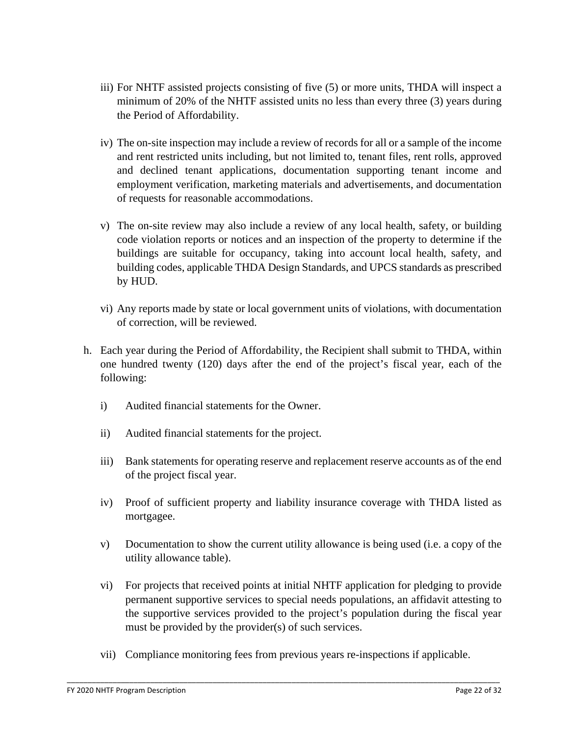- iii) For NHTF assisted projects consisting of five (5) or more units, THDA will inspect a minimum of 20% of the NHTF assisted units no less than every three (3) years during the Period of Affordability.
- iv) The on-site inspection may include a review of records for all or a sample of the income and rent restricted units including, but not limited to, tenant files, rent rolls, approved and declined tenant applications, documentation supporting tenant income and employment verification, marketing materials and advertisements, and documentation of requests for reasonable accommodations.
- v) The on-site review may also include a review of any local health, safety, or building code violation reports or notices and an inspection of the property to determine if the buildings are suitable for occupancy, taking into account local health, safety, and building codes, applicable THDA Design Standards, and UPCS standards as prescribed by HUD.
- vi) Any reports made by state or local government units of violations, with documentation of correction, will be reviewed.
- h. Each year during the Period of Affordability, the Recipient shall submit to THDA, within one hundred twenty (120) days after the end of the project's fiscal year, each of the following:
	- i) Audited financial statements for the Owner.
	- ii) Audited financial statements for the project.
	- iii) Bank statements for operating reserve and replacement reserve accounts as of the end of the project fiscal year.
	- iv) Proof of sufficient property and liability insurance coverage with THDA listed as mortgagee.
	- v) Documentation to show the current utility allowance is being used (i.e. a copy of the utility allowance table).
	- vi) For projects that received points at initial NHTF application for pledging to provide permanent supportive services to special needs populations, an affidavit attesting to the supportive services provided to the project's population during the fiscal year must be provided by the provider(s) of such services.
	- vii) Compliance monitoring fees from previous years re-inspections if applicable.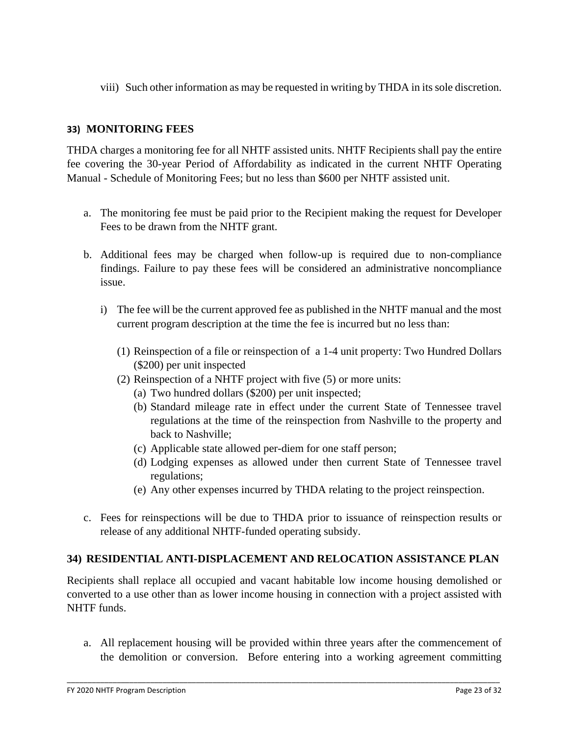viii) Such other information as may be requested in writing by THDA in its sole discretion.

## **33) MONITORING FEES**

THDA charges a monitoring fee for all NHTF assisted units. NHTF Recipients shall pay the entire fee covering the 30-year Period of Affordability as indicated in the current NHTF Operating Manual - Schedule of Monitoring Fees; but no less than \$600 per NHTF assisted unit.

- a. The monitoring fee must be paid prior to the Recipient making the request for Developer Fees to be drawn from the NHTF grant.
- b. Additional fees may be charged when follow-up is required due to non-compliance findings. Failure to pay these fees will be considered an administrative noncompliance issue.
	- i) The fee will be the current approved fee as published in the NHTF manual and the most current program description at the time the fee is incurred but no less than:
		- (1) Reinspection of a file or reinspection of a 1-4 unit property: Two Hundred Dollars (\$200) per unit inspected
		- (2) Reinspection of a NHTF project with five (5) or more units:
			- (a) Two hundred dollars (\$200) per unit inspected;
			- (b) Standard mileage rate in effect under the current State of Tennessee travel regulations at the time of the reinspection from Nashville to the property and back to Nashville;
			- (c) Applicable state allowed per-diem for one staff person;
			- (d) Lodging expenses as allowed under then current State of Tennessee travel regulations;
			- (e) Any other expenses incurred by THDA relating to the project reinspection.
- c. Fees for reinspections will be due to THDA prior to issuance of reinspection results or release of any additional NHTF-funded operating subsidy.

## **34) RESIDENTIAL ANTI-DISPLACEMENT AND RELOCATION ASSISTANCE PLAN**

Recipients shall replace all occupied and vacant habitable low income housing demolished or converted to a use other than as lower income housing in connection with a project assisted with NHTF funds.

a. All replacement housing will be provided within three years after the commencement of the demolition or conversion. Before entering into a working agreement committing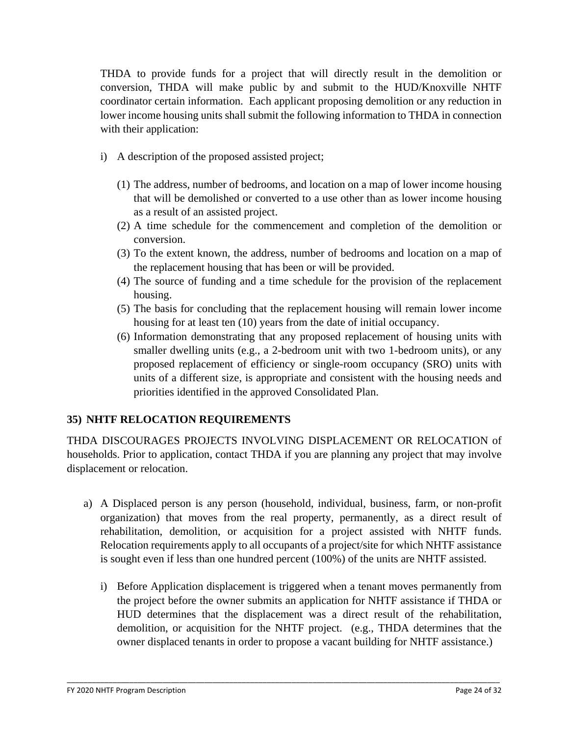THDA to provide funds for a project that will directly result in the demolition or conversion, THDA will make public by and submit to the HUD/Knoxville NHTF coordinator certain information. Each applicant proposing demolition or any reduction in lower income housing units shall submit the following information to THDA in connection with their application:

- i) A description of the proposed assisted project;
	- (1) The address, number of bedrooms, and location on a map of lower income housing that will be demolished or converted to a use other than as lower income housing as a result of an assisted project.
	- (2) A time schedule for the commencement and completion of the demolition or conversion.
	- (3) To the extent known, the address, number of bedrooms and location on a map of the replacement housing that has been or will be provided.
	- (4) The source of funding and a time schedule for the provision of the replacement housing.
	- (5) The basis for concluding that the replacement housing will remain lower income housing for at least ten (10) years from the date of initial occupancy.
	- (6) Information demonstrating that any proposed replacement of housing units with smaller dwelling units (e.g., a 2-bedroom unit with two 1-bedroom units), or any proposed replacement of efficiency or single-room occupancy (SRO) units with units of a different size, is appropriate and consistent with the housing needs and priorities identified in the approved Consolidated Plan.

## **35) NHTF RELOCATION REQUIREMENTS**

THDA DISCOURAGES PROJECTS INVOLVING DISPLACEMENT OR RELOCATION of households. Prior to application, contact THDA if you are planning any project that may involve displacement or relocation.

- a) A Displaced person is any person (household, individual, business, farm, or non-profit organization) that moves from the real property, permanently, as a direct result of rehabilitation, demolition, or acquisition for a project assisted with NHTF funds. Relocation requirements apply to all occupants of a project/site for which NHTF assistance is sought even if less than one hundred percent (100%) of the units are NHTF assisted.
	- i) Before Application displacement is triggered when a tenant moves permanently from the project before the owner submits an application for NHTF assistance if THDA or HUD determines that the displacement was a direct result of the rehabilitation, demolition, or acquisition for the NHTF project. (e.g., THDA determines that the owner displaced tenants in order to propose a vacant building for NHTF assistance.)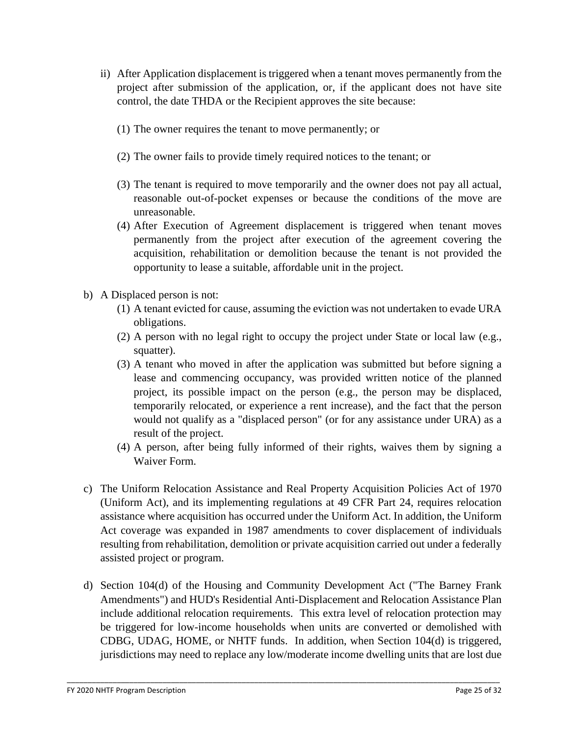- ii) After Application displacement is triggered when a tenant moves permanently from the project after submission of the application, or, if the applicant does not have site control, the date THDA or the Recipient approves the site because:
	- (1) The owner requires the tenant to move permanently; or
	- (2) The owner fails to provide timely required notices to the tenant; or
	- (3) The tenant is required to move temporarily and the owner does not pay all actual, reasonable out-of-pocket expenses or because the conditions of the move are unreasonable.
	- (4) After Execution of Agreement displacement is triggered when tenant moves permanently from the project after execution of the agreement covering the acquisition, rehabilitation or demolition because the tenant is not provided the opportunity to lease a suitable, affordable unit in the project.
- b) A Displaced person is not:
	- (1) A tenant evicted for cause, assuming the eviction was not undertaken to evade URA obligations.
	- (2) A person with no legal right to occupy the project under State or local law (e.g., squatter).
	- (3) A tenant who moved in after the application was submitted but before signing a lease and commencing occupancy, was provided written notice of the planned project, its possible impact on the person (e.g., the person may be displaced, temporarily relocated, or experience a rent increase), and the fact that the person would not qualify as a "displaced person" (or for any assistance under URA) as a result of the project.
	- (4) A person, after being fully informed of their rights, waives them by signing a Waiver Form.
- c) The Uniform Relocation Assistance and Real Property Acquisition Policies Act of 1970 (Uniform Act), and its implementing regulations at 49 CFR Part 24, requires relocation assistance where acquisition has occurred under the Uniform Act. In addition, the Uniform Act coverage was expanded in 1987 amendments to cover displacement of individuals resulting from rehabilitation, demolition or private acquisition carried out under a federally assisted project or program.
- d) Section 104(d) of the Housing and Community Development Act ("The Barney Frank Amendments") and HUD's Residential Anti-Displacement and Relocation Assistance Plan include additional relocation requirements. This extra level of relocation protection may be triggered for low-income households when units are converted or demolished with CDBG, UDAG, HOME, or NHTF funds. In addition, when Section 104(d) is triggered, jurisdictions may need to replace any low/moderate income dwelling units that are lost due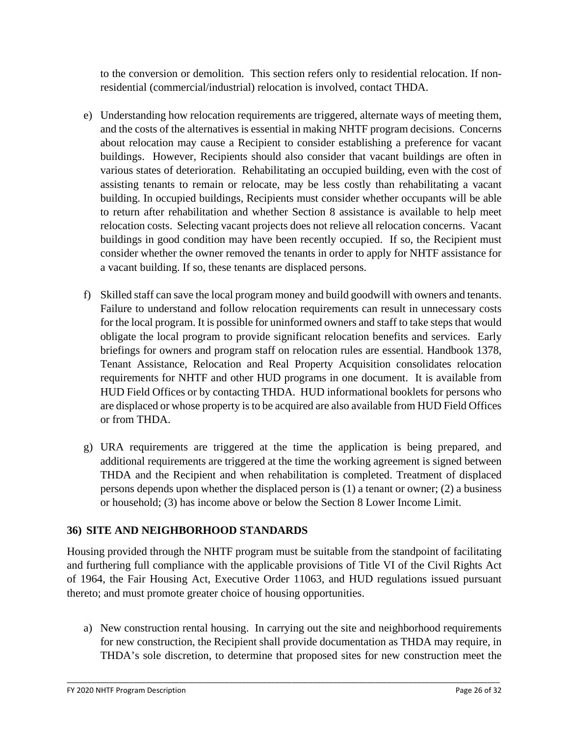to the conversion or demolition. This section refers only to residential relocation. If nonresidential (commercial/industrial) relocation is involved, contact THDA.

- e) Understanding how relocation requirements are triggered, alternate ways of meeting them, and the costs of the alternatives is essential in making NHTF program decisions. Concerns about relocation may cause a Recipient to consider establishing a preference for vacant buildings. However, Recipients should also consider that vacant buildings are often in various states of deterioration. Rehabilitating an occupied building, even with the cost of assisting tenants to remain or relocate, may be less costly than rehabilitating a vacant building. In occupied buildings, Recipients must consider whether occupants will be able to return after rehabilitation and whether Section 8 assistance is available to help meet relocation costs. Selecting vacant projects does not relieve all relocation concerns. Vacant buildings in good condition may have been recently occupied. If so, the Recipient must consider whether the owner removed the tenants in order to apply for NHTF assistance for a vacant building. If so, these tenants are displaced persons.
- f) Skilled staff can save the local program money and build goodwill with owners and tenants. Failure to understand and follow relocation requirements can result in unnecessary costs for the local program. It is possible for uninformed owners and staff to take steps that would obligate the local program to provide significant relocation benefits and services. Early briefings for owners and program staff on relocation rules are essential. Handbook 1378, Tenant Assistance, Relocation and Real Property Acquisition consolidates relocation requirements for NHTF and other HUD programs in one document. It is available from HUD Field Offices or by contacting THDA. HUD informational booklets for persons who are displaced or whose property is to be acquired are also available from HUD Field Offices or from THDA.
- g) URA requirements are triggered at the time the application is being prepared, and additional requirements are triggered at the time the working agreement is signed between THDA and the Recipient and when rehabilitation is completed. Treatment of displaced persons depends upon whether the displaced person is (1) a tenant or owner; (2) a business or household; (3) has income above or below the Section 8 Lower Income Limit.

## **36) SITE AND NEIGHBORHOOD STANDARDS**

Housing provided through the NHTF program must be suitable from the standpoint of facilitating and furthering full compliance with the applicable provisions of Title VI of the Civil Rights Act of 1964, the Fair Housing Act, Executive Order 11063, and HUD regulations issued pursuant thereto; and must promote greater choice of housing opportunities.

a) New construction rental housing. In carrying out the site and neighborhood requirements for new construction, the Recipient shall provide documentation as THDA may require, in THDA's sole discretion, to determine that proposed sites for new construction meet the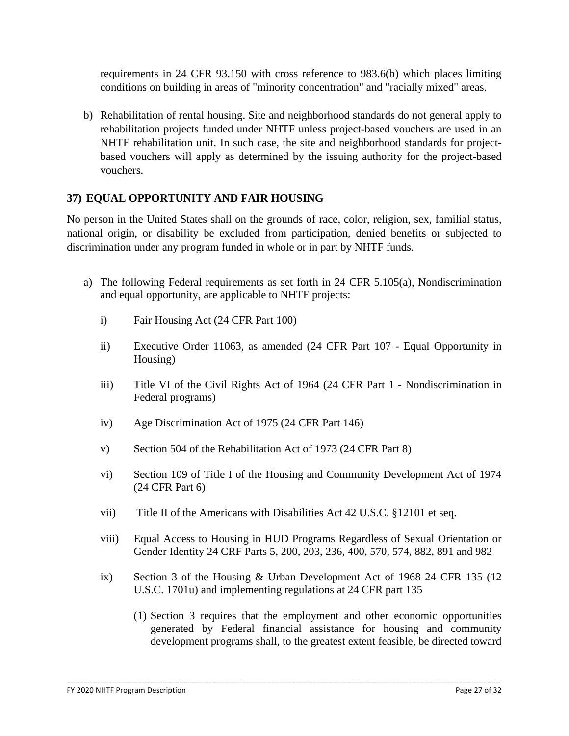requirements in 24 CFR 93.150 with cross reference to 983.6(b) which places limiting conditions on building in areas of "minority concentration" and "racially mixed" areas.

b) Rehabilitation of rental housing. Site and neighborhood standards do not general apply to rehabilitation projects funded under NHTF unless project-based vouchers are used in an NHTF rehabilitation unit. In such case, the site and neighborhood standards for projectbased vouchers will apply as determined by the issuing authority for the project-based vouchers.

### **37) EQUAL OPPORTUNITY AND FAIR HOUSING**

No person in the United States shall on the grounds of race, color, religion, sex, familial status, national origin, or disability be excluded from participation, denied benefits or subjected to discrimination under any program funded in whole or in part by NHTF funds.

- a) The following Federal requirements as set forth in 24 CFR 5.105(a), Nondiscrimination and equal opportunity, are applicable to NHTF projects:
	- i) Fair Housing Act (24 CFR Part 100)
	- ii) Executive Order 11063, as amended (24 CFR Part 107 Equal Opportunity in Housing)
	- iii) Title VI of the Civil Rights Act of 1964 (24 CFR Part 1 Nondiscrimination in Federal programs)
	- iv) Age Discrimination Act of 1975 (24 CFR Part 146)
	- v) Section 504 of the Rehabilitation Act of 1973 (24 CFR Part 8)
	- vi) Section 109 of Title I of the Housing and Community Development Act of 1974 (24 CFR Part 6)
	- vii) Title II of the Americans with Disabilities Act 42 U.S.C. §12101 et seq.
	- viii) Equal Access to Housing in HUD Programs Regardless of Sexual Orientation or Gender Identity 24 CRF Parts 5, 200, 203, 236, 400, 570, 574, 882, 891 and 982
	- ix) Section 3 of the Housing & Urban Development Act of 1968 24 CFR 135 (12 U.S.C. 1701u) and implementing regulations at 24 CFR part 135

\_\_\_\_\_\_\_\_\_\_\_\_\_\_\_\_\_\_\_\_\_\_\_\_\_\_\_\_\_\_\_\_\_\_\_\_\_\_\_\_\_\_\_\_\_\_\_\_\_\_\_\_\_\_\_\_\_\_\_\_\_\_\_\_\_\_\_\_\_\_\_\_\_\_\_\_\_\_\_\_\_\_\_\_\_\_\_\_\_\_\_\_\_\_\_\_\_\_\_\_\_\_\_\_

(1) Section 3 requires that the employment and other economic opportunities generated by Federal financial assistance for housing and community development programs shall, to the greatest extent feasible, be directed toward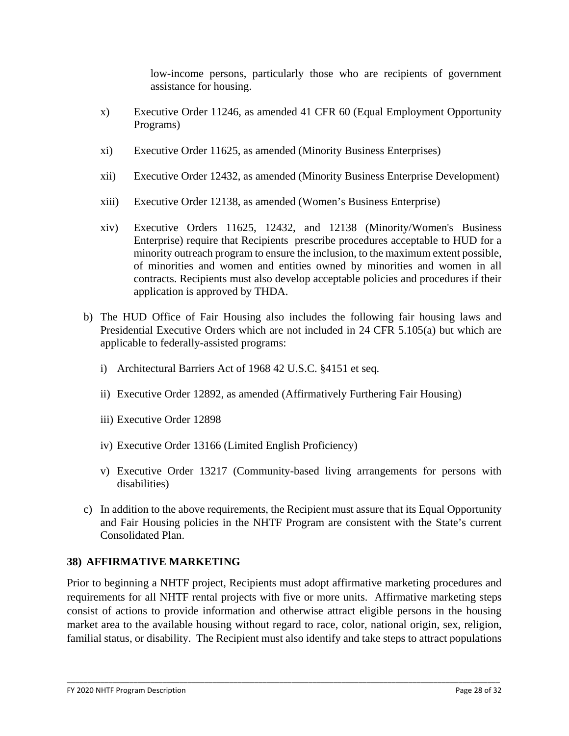low-income persons, particularly those who are recipients of government assistance for housing.

- x) Executive Order 11246, as amended 41 CFR 60 (Equal Employment Opportunity Programs)
- xi) Executive Order 11625, as amended (Minority Business Enterprises)
- xii) Executive Order 12432, as amended (Minority Business Enterprise Development)
- xiii) Executive Order 12138, as amended (Women's Business Enterprise)
- xiv) Executive Orders 11625, 12432, and 12138 (Minority/Women's Business Enterprise) require that Recipients prescribe procedures acceptable to HUD for a minority outreach program to ensure the inclusion, to the maximum extent possible, of minorities and women and entities owned by minorities and women in all contracts. Recipients must also develop acceptable policies and procedures if their application is approved by THDA.
- b) The HUD Office of Fair Housing also includes the following fair housing laws and Presidential Executive Orders which are not included in 24 CFR 5.105(a) but which are applicable to federally-assisted programs:
	- i) Architectural Barriers Act of 1968 42 U.S.C. §4151 et seq.
	- ii) Executive Order 12892, as amended (Affirmatively Furthering Fair Housing)
	- iii) Executive Order 12898
	- iv) Executive Order 13166 (Limited English Proficiency)
	- v) Executive Order 13217 (Community-based living arrangements for persons with disabilities)
- c) In addition to the above requirements, the Recipient must assure that its Equal Opportunity and Fair Housing policies in the NHTF Program are consistent with the State's current Consolidated Plan.

## **38) AFFIRMATIVE MARKETING**

Prior to beginning a NHTF project, Recipients must adopt affirmative marketing procedures and requirements for all NHTF rental projects with five or more units. Affirmative marketing steps consist of actions to provide information and otherwise attract eligible persons in the housing market area to the available housing without regard to race, color, national origin, sex, religion, familial status, or disability. The Recipient must also identify and take steps to attract populations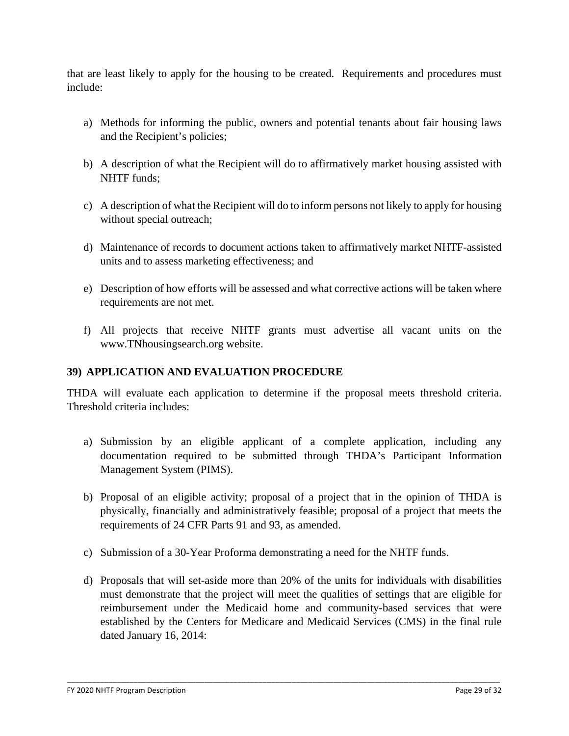that are least likely to apply for the housing to be created. Requirements and procedures must include:

- a) Methods for informing the public, owners and potential tenants about fair housing laws and the Recipient's policies;
- b) A description of what the Recipient will do to affirmatively market housing assisted with NHTF funds;
- c) A description of what the Recipient will do to inform persons not likely to apply for housing without special outreach;
- d) Maintenance of records to document actions taken to affirmatively market NHTF-assisted units and to assess marketing effectiveness; and
- e) Description of how efforts will be assessed and what corrective actions will be taken where requirements are not met.
- f) All projects that receive NHTF grants must advertise all vacant units on the www.TNhousingsearch.org website.

### **39) APPLICATION AND EVALUATION PROCEDURE**

THDA will evaluate each application to determine if the proposal meets threshold criteria. Threshold criteria includes:

- a) Submission by an eligible applicant of a complete application, including any documentation required to be submitted through THDA's Participant Information Management System (PIMS).
- b) Proposal of an eligible activity; proposal of a project that in the opinion of THDA is physically, financially and administratively feasible; proposal of a project that meets the requirements of 24 CFR Parts 91 and 93, as amended.
- c) Submission of a 30-Year Proforma demonstrating a need for the NHTF funds.
- d) Proposals that will set-aside more than 20% of the units for individuals with disabilities must demonstrate that the project will meet the qualities of settings that are eligible for reimbursement under the Medicaid home and community-based services that were established by the Centers for Medicare and Medicaid Services (CMS) in the final rule dated January 16, 2014: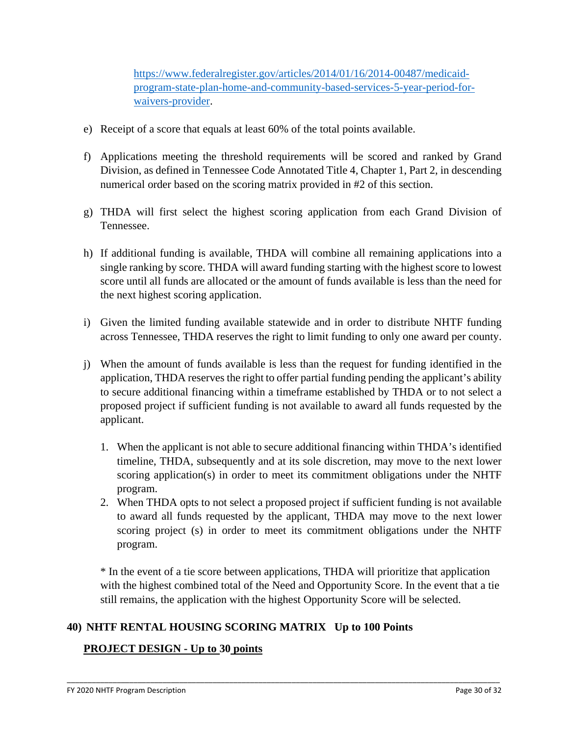[https://www.federalregister.gov/articles/2014/01/16/2014-00487/medicaid](https://www.federalregister.gov/articles/2014/01/16/2014-00487/medicaid-program-state-plan-home-and-community-based-services-5-year-period-for-waivers-provider)[program-state-plan-home-and-community-based-services-5-year-period-for](https://www.federalregister.gov/articles/2014/01/16/2014-00487/medicaid-program-state-plan-home-and-community-based-services-5-year-period-for-waivers-provider)[waivers-provider.](https://www.federalregister.gov/articles/2014/01/16/2014-00487/medicaid-program-state-plan-home-and-community-based-services-5-year-period-for-waivers-provider)

- e) Receipt of a score that equals at least 60% of the total points available.
- f) Applications meeting the threshold requirements will be scored and ranked by Grand Division, as defined in Tennessee Code Annotated Title 4, Chapter 1, Part 2, in descending numerical order based on the scoring matrix provided in #2 of this section.
- g) THDA will first select the highest scoring application from each Grand Division of Tennessee.
- h) If additional funding is available, THDA will combine all remaining applications into a single ranking by score. THDA will award funding starting with the highest score to lowest score until all funds are allocated or the amount of funds available is less than the need for the next highest scoring application.
- i) Given the limited funding available statewide and in order to distribute NHTF funding across Tennessee, THDA reserves the right to limit funding to only one award per county.
- j) When the amount of funds available is less than the request for funding identified in the application, THDA reserves the right to offer partial funding pending the applicant's ability to secure additional financing within a timeframe established by THDA or to not select a proposed project if sufficient funding is not available to award all funds requested by the applicant.
	- 1. When the applicant is not able to secure additional financing within THDA's identified timeline, THDA, subsequently and at its sole discretion, may move to the next lower scoring application(s) in order to meet its commitment obligations under the NHTF program.
	- 2. When THDA opts to not select a proposed project if sufficient funding is not available to award all funds requested by the applicant, THDA may move to the next lower scoring project (s) in order to meet its commitment obligations under the NHTF program.

\* In the event of a tie score between applications, THDA will prioritize that application with the highest combined total of the Need and Opportunity Score. In the event that a tie still remains, the application with the highest Opportunity Score will be selected.

\_\_\_\_\_\_\_\_\_\_\_\_\_\_\_\_\_\_\_\_\_\_\_\_\_\_\_\_\_\_\_\_\_\_\_\_\_\_\_\_\_\_\_\_\_\_\_\_\_\_\_\_\_\_\_\_\_\_\_\_\_\_\_\_\_\_\_\_\_\_\_\_\_\_\_\_\_\_\_\_\_\_\_\_\_\_\_\_\_\_\_\_\_\_\_\_\_\_\_\_\_\_\_\_

### **40) NHTF RENTAL HOUSING SCORING MATRIX Up to 100 Points**

### **PROJECT DESIGN - Up to 30 points**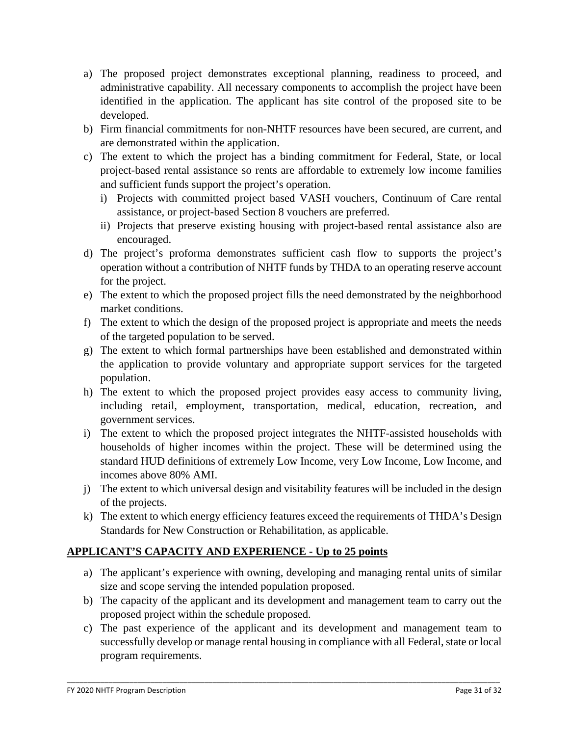- a) The proposed project demonstrates exceptional planning, readiness to proceed, and administrative capability. All necessary components to accomplish the project have been identified in the application. The applicant has site control of the proposed site to be developed.
- b) Firm financial commitments for non-NHTF resources have been secured, are current, and are demonstrated within the application.
- c) The extent to which the project has a binding commitment for Federal, State, or local project-based rental assistance so rents are affordable to extremely low income families and sufficient funds support the project's operation.
	- i) Projects with committed project based VASH vouchers, Continuum of Care rental assistance, or project-based Section 8 vouchers are preferred.
	- ii) Projects that preserve existing housing with project-based rental assistance also are encouraged.
- d) The project's proforma demonstrates sufficient cash flow to supports the project's operation without a contribution of NHTF funds by THDA to an operating reserve account for the project.
- e) The extent to which the proposed project fills the need demonstrated by the neighborhood market conditions.
- f) The extent to which the design of the proposed project is appropriate and meets the needs of the targeted population to be served.
- g) The extent to which formal partnerships have been established and demonstrated within the application to provide voluntary and appropriate support services for the targeted population.
- h) The extent to which the proposed project provides easy access to community living, including retail, employment, transportation, medical, education, recreation, and government services.
- i) The extent to which the proposed project integrates the NHTF-assisted households with households of higher incomes within the project. These will be determined using the standard HUD definitions of extremely Low Income, very Low Income, Low Income, and incomes above 80% AMI.
- j) The extent to which universal design and visitability features will be included in the design of the projects.
- k) The extent to which energy efficiency features exceed the requirements of THDA's Design Standards for New Construction or Rehabilitation, as applicable.

## **APPLICANT'S CAPACITY AND EXPERIENCE - Up to 25 points**

- a) The applicant's experience with owning, developing and managing rental units of similar size and scope serving the intended population proposed.
- b) The capacity of the applicant and its development and management team to carry out the proposed project within the schedule proposed.
- c) The past experience of the applicant and its development and management team to successfully develop or manage rental housing in compliance with all Federal, state or local program requirements.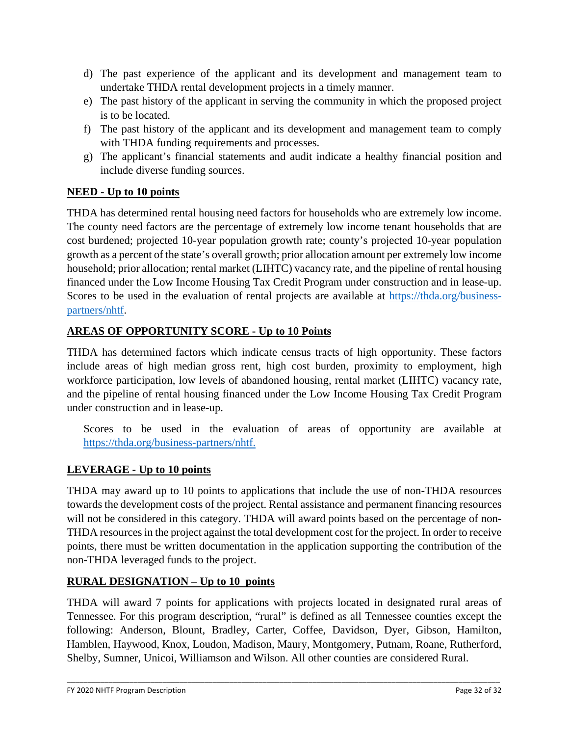- d) The past experience of the applicant and its development and management team to undertake THDA rental development projects in a timely manner.
- e) The past history of the applicant in serving the community in which the proposed project is to be located.
- f) The past history of the applicant and its development and management team to comply with THDA funding requirements and processes.
- g) The applicant's financial statements and audit indicate a healthy financial position and include diverse funding sources.

# **NEED - Up to 10 points**

THDA has determined rental housing need factors for households who are extremely low income. The county need factors are the percentage of extremely low income tenant households that are cost burdened; projected 10-year population growth rate; county's projected 10-year population growth as a percent of the state's overall growth; prior allocation amount per extremely low income household; prior allocation; rental market (LIHTC) vacancy rate, and the pipeline of rental housing financed under the Low Income Housing Tax Credit Program under construction and in lease-up. Scores to be used in the evaluation of rental projects are available at [https://thda.org/business](https://thda.org/business-partners/nhtf)[partners/nhtf.](https://thda.org/business-partners/nhtf)

## **AREAS OF OPPORTUNITY SCORE - Up to 10 Points**

THDA has determined factors which indicate census tracts of high opportunity. These factors include areas of high median gross rent, high cost burden, proximity to employment, high workforce participation, low levels of abandoned housing, rental market (LIHTC) vacancy rate, and the pipeline of rental housing financed under the Low Income Housing Tax Credit Program under construction and in lease-up.

Scores to be used in the evaluation of areas of opportunity are available at [https://thda.org/business-partners/nhtf.](https://thda.org/business-partners/nhtf)

## **LEVERAGE - Up to 10 points**

THDA may award up to 10 points to applications that include the use of non-THDA resources towards the development costs of the project. Rental assistance and permanent financing resources will not be considered in this category. THDA will award points based on the percentage of non-THDA resources in the project against the total development cost for the project. In order to receive points, there must be written documentation in the application supporting the contribution of the non-THDA leveraged funds to the project.

### **RURAL DESIGNATION – Up to 10 points**

THDA will award 7 points for applications with projects located in designated rural areas of Tennessee. For this program description, "rural" is defined as all Tennessee counties except the following: Anderson, Blount, Bradley, Carter, Coffee, Davidson, Dyer, Gibson, Hamilton, Hamblen, Haywood, Knox, Loudon, Madison, Maury, Montgomery, Putnam, Roane, Rutherford, Shelby, Sumner, Unicoi, Williamson and Wilson. All other counties are considered Rural.